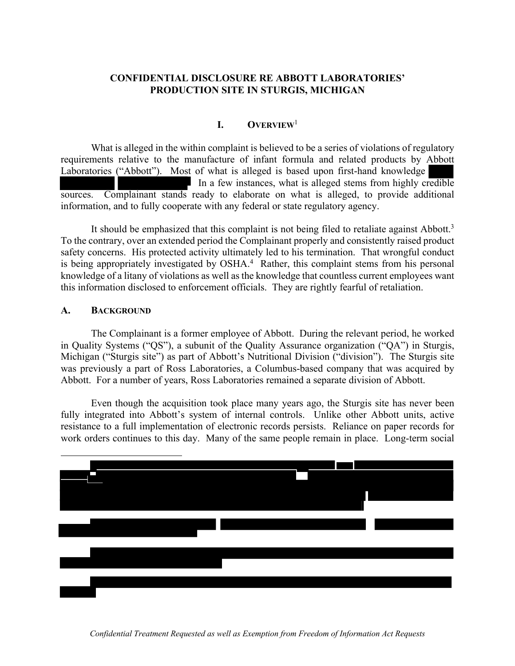# **CONFIDENTIAL DISCLOSURE RE ABBOTT LABORATORIES' PRODUCTION SITE IN STURGIS, MICHIGAN**

# **I. OVERVIEW**<sup>1</sup>

What is alleged in the within complaint is believed to be a series of violations of regulatory requirements relative to the manufacture of infant formula and related products by Abbott Laboratories ("Abbott"). Most of what is alleged is based upon first-hand knowledge In a few instances, what is alleged stems from highly credible sources. Complainant stands ready to elaborate on what is alleged, to provide additional information, and to fully cooperate with any federal or state regulatory agency.

It should be emphasized that this complaint is not being filed to retaliate against Abbott.<sup>3</sup> To the contrary, over an extended period the Complainant properly and consistently raised product safety concerns. His protected activity ultimately led to his termination. That wrongful conduct is being appropriately investigated by OSHA. 4 Rather, this complaint stems from his personal knowledge of a litany of violations as well as the knowledge that countless current employees want this information disclosed to enforcement officials. They are rightly fearful of retaliation.

### **A. BACKGROUND**

 The Complainant is a former employee of Abbott. During the relevant period, he worked in Quality Systems ("QS"), a subunit of the Quality Assurance organization ("QA") in Sturgis, Michigan ("Sturgis site") as part of Abbott's Nutritional Division ("division"). The Sturgis site was previously a part of Ross Laboratories, a Columbus-based company that was acquired by Abbott. For a number of years, Ross Laboratories remained a separate division of Abbott.

 Even though the acquisition took place many years ago, the Sturgis site has never been fully integrated into Abbott's system of internal controls. Unlike other Abbott units, active resistance to a full implementation of electronic records persists. Reliance on paper records for work orders continues to this day. Many of the same people remain in place. Long-term social

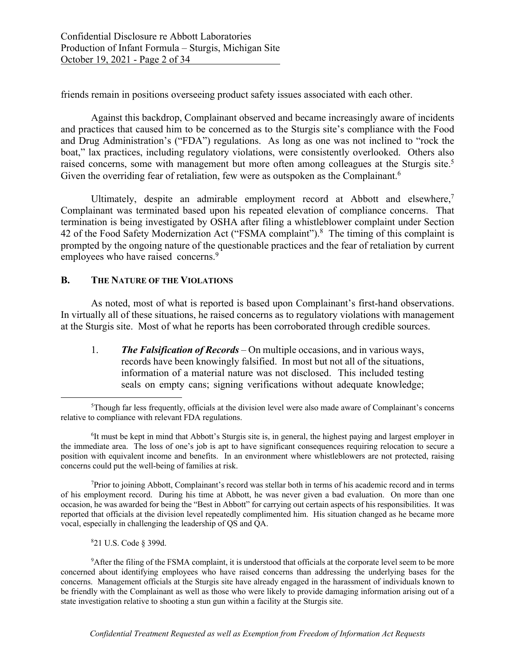friends remain in positions overseeing product safety issues associated with each other.

Against this backdrop, Complainant observed and became increasingly aware of incidents and practices that caused him to be concerned as to the Sturgis site's compliance with the Food and Drug Administration's ("FDA") regulations. As long as one was not inclined to "rock the boat," lax practices, including regulatory violations, were consistently overlooked. Others also raised concerns, some with management but more often among colleagues at the Sturgis site.<sup>5</sup> Given the overriding fear of retaliation, few were as outspoken as the Complainant.<sup>6</sup>

Ultimately, despite an admirable employment record at Abbott and elsewhere, $<sup>7</sup>$ </sup> Complainant was terminated based upon his repeated elevation of compliance concerns. That termination is being investigated by OSHA after filing a whistleblower complaint under Section 42 of the Food Safety Modernization Act ("FSMA complaint").<sup>8</sup> The timing of this complaint is prompted by the ongoing nature of the questionable practices and the fear of retaliation by current employees who have raised concerns.<sup>9</sup>

#### **B. THE NATURE OF THE VIOLATIONS**

As noted, most of what is reported is based upon Complainant's first-hand observations. In virtually all of these situations, he raised concerns as to regulatory violations with management at the Sturgis site. Most of what he reports has been corroborated through credible sources.

1. *The Falsification of Records* – On multiple occasions, and in various ways, records have been knowingly falsified. In most but not all of the situations, information of a material nature was not disclosed. This included testing seals on empty cans; signing verifications without adequate knowledge;

<sup>7</sup>Prior to joining Abbott, Complainant's record was stellar both in terms of his academic record and in terms of his employment record. During his time at Abbott, he was never given a bad evaluation. On more than one occasion, he was awarded for being the "Best in Abbott" for carrying out certain aspects of his responsibilities. It was reported that officials at the division level repeatedly complimented him. His situation changed as he became more vocal, especially in challenging the leadership of QS and QA.

8 21 U.S. Code § 399d.

<sup>9</sup>After the filing of the FSMA complaint, it is understood that officials at the corporate level seem to be more concerned about identifying employees who have raised concerns than addressing the underlying bases for the concerns. Management officials at the Sturgis site have already engaged in the harassment of individuals known to be friendly with the Complainant as well as those who were likely to provide damaging information arising out of a state investigation relative to shooting a stun gun within a facility at the Sturgis site.

<sup>&</sup>lt;sup>5</sup>Though far less frequently, officials at the division level were also made aware of Complainant's concerns relative to compliance with relevant FDA regulations.

<sup>&</sup>lt;sup>6</sup>It must be kept in mind that Abbott's Sturgis site is, in general, the highest paying and largest employer in the immediate area. The loss of one's job is apt to have significant consequences requiring relocation to secure a position with equivalent income and benefits. In an environment where whistleblowers are not protected, raising concerns could put the well-being of families at risk.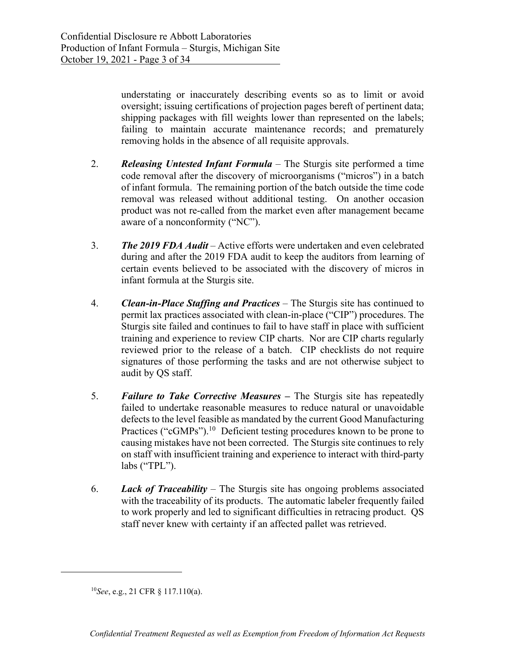understating or inaccurately describing events so as to limit or avoid oversight; issuing certifications of projection pages bereft of pertinent data; shipping packages with fill weights lower than represented on the labels; failing to maintain accurate maintenance records; and prematurely removing holds in the absence of all requisite approvals.

- 2. *Releasing Untested Infant Formula* The Sturgis site performed a time code removal after the discovery of microorganisms ("micros") in a batch of infant formula. The remaining portion of the batch outside the time code removal was released without additional testing. On another occasion product was not re-called from the market even after management became aware of a nonconformity ("NC").
- 3. *The 2019 FDA Audit* Active efforts were undertaken and even celebrated during and after the 2019 FDA audit to keep the auditors from learning of certain events believed to be associated with the discovery of micros in infant formula at the Sturgis site.
- 4. *Clean-in-Place Staffing and Practices* The Sturgis site has continued to permit lax practices associated with clean-in-place ("CIP") procedures. The Sturgis site failed and continues to fail to have staff in place with sufficient training and experience to review CIP charts. Nor are CIP charts regularly reviewed prior to the release of a batch. CIP checklists do not require signatures of those performing the tasks and are not otherwise subject to audit by QS staff.
- 5. *Failure to Take Corrective Measures* **–** The Sturgis site has repeatedly failed to undertake reasonable measures to reduce natural or unavoidable defects to the level feasible as mandated by the current Good Manufacturing Practices ("cGMPs").<sup>10</sup> Deficient testing procedures known to be prone to causing mistakes have not been corrected. The Sturgis site continues to rely on staff with insufficient training and experience to interact with third-party labs ("TPL").
- 6. *Lack of Traceability*  The Sturgis site has ongoing problems associated with the traceability of its products. The automatic labeler frequently failed to work properly and led to significant difficulties in retracing product. QS staff never knew with certainty if an affected pallet was retrieved.

<sup>10</sup>*See*, e.g., 21 CFR § 117.110(a).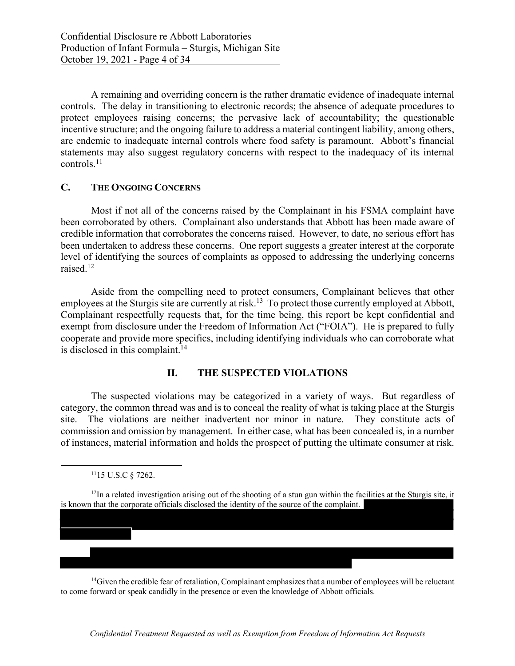A remaining and overriding concern is the rather dramatic evidence of inadequate internal controls. The delay in transitioning to electronic records; the absence of adequate procedures to protect employees raising concerns; the pervasive lack of accountability; the questionable incentive structure; and the ongoing failure to address a material contingent liability, among others, are endemic to inadequate internal controls where food safety is paramount. Abbott's financial statements may also suggest regulatory concerns with respect to the inadequacy of its internal controls.11

### **C. THE ONGOING CONCERNS**

 Most if not all of the concerns raised by the Complainant in his FSMA complaint have been corroborated by others. Complainant also understands that Abbott has been made aware of credible information that corroborates the concerns raised. However, to date, no serious effort has been undertaken to address these concerns. One report suggests a greater interest at the corporate level of identifying the sources of complaints as opposed to addressing the underlying concerns raised.12

 Aside from the compelling need to protect consumers, Complainant believes that other employees at the Sturgis site are currently at risk.<sup>13</sup> To protect those currently employed at Abbott, Complainant respectfully requests that, for the time being, this report be kept confidential and exempt from disclosure under the Freedom of Information Act ("FOIA"). He is prepared to fully cooperate and provide more specifics, including identifying individuals who can corroborate what is disclosed in this complaint.<sup>14</sup>

### **II. THE SUSPECTED VIOLATIONS**

The suspected violations may be categorized in a variety of ways. But regardless of category, the common thread was and is to conceal the reality of what is taking place at the Sturgis site. The violations are neither inadvertent nor minor in nature. They constitute acts of commission and omission by management. In either case, what has been concealed is, in a number of instances, material information and holds the prospect of putting the ultimate consumer at risk.

٦

<sup>14</sup>Given the credible fear of retaliation, Complainant emphasizes that a number of employees will be reluctant to come forward or speak candidly in the presence or even the knowledge of Abbott officials.

<sup>1115</sup> U.S.C § 7262.

 $12$ In a related investigation arising out of the shooting of a stun gun within the facilities at the Sturgis site, it is known that the corporate officials disclosed the identity of the source of the complaint.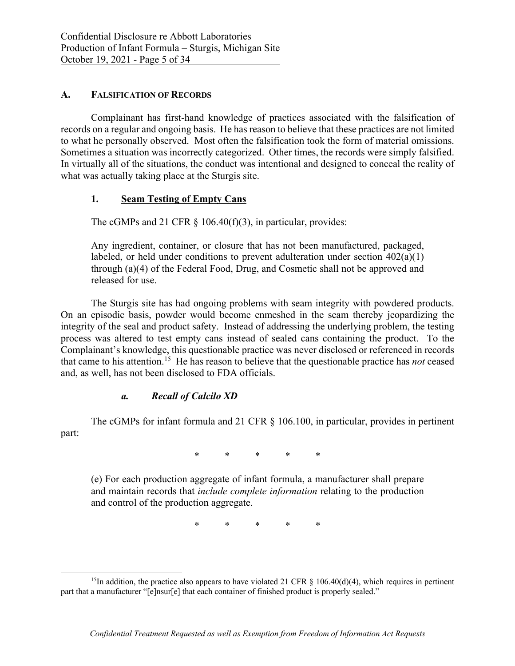### **A. FALSIFICATION OF RECORDS**

Complainant has first-hand knowledge of practices associated with the falsification of records on a regular and ongoing basis. He has reason to believe that these practices are not limited to what he personally observed. Most often the falsification took the form of material omissions. Sometimes a situation was incorrectly categorized. Other times, the records were simply falsified. In virtually all of the situations, the conduct was intentional and designed to conceal the reality of what was actually taking place at the Sturgis site.

### **1. Seam Testing of Empty Cans**

The cGMPs and 21 CFR  $\S$  106.40(f)(3), in particular, provides:

Any ingredient, container, or closure that has not been manufactured, packaged, labeled, or held under conditions to prevent adulteration under section  $402(a)(1)$ through (a)(4) of the Federal Food, Drug, and Cosmetic shall not be approved and released for use.

The Sturgis site has had ongoing problems with seam integrity with powdered products. On an episodic basis, powder would become enmeshed in the seam thereby jeopardizing the integrity of the seal and product safety. Instead of addressing the underlying problem, the testing process was altered to test empty cans instead of sealed cans containing the product. To the Complainant's knowledge, this questionable practice was never disclosed or referenced in records that came to his attention.15 He has reason to believe that the questionable practice has *not* ceased and, as well, has not been disclosed to FDA officials.

### *a. Recall of Calcilo XD*

The cGMPs for infant formula and 21 CFR § 106.100, in particular, provides in pertinent part:

\* \* \* \* \*

(e) For each production aggregate of infant formula, a manufacturer shall prepare and maintain records that *include complete information* relating to the production and control of the production aggregate.

\* \* \* \* \*

<sup>&</sup>lt;sup>15</sup>In addition, the practice also appears to have violated 21 CFR  $\S$  106.40(d)(4), which requires in pertinent part that a manufacturer "[e]nsur[e] that each container of finished product is properly sealed."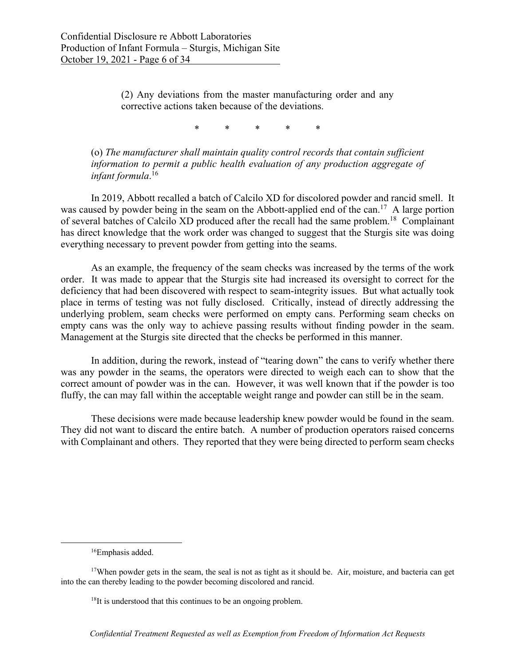(2) Any deviations from the master manufacturing order and any corrective actions taken because of the deviations.

\* \* \* \* \*

(o) *The manufacturer shall maintain quality control records that contain sufficient information to permit a public health evaluation of any production aggregate of infant formula*. 16

In 2019, Abbott recalled a batch of Calcilo XD for discolored powder and rancid smell. It was caused by powder being in the seam on the Abbott-applied end of the can.<sup>17</sup> A large portion of several batches of Calcilo XD produced after the recall had the same problem.18 Complainant has direct knowledge that the work order was changed to suggest that the Sturgis site was doing everything necessary to prevent powder from getting into the seams.

As an example, the frequency of the seam checks was increased by the terms of the work order. It was made to appear that the Sturgis site had increased its oversight to correct for the deficiency that had been discovered with respect to seam-integrity issues. But what actually took place in terms of testing was not fully disclosed. Critically, instead of directly addressing the underlying problem, seam checks were performed on empty cans. Performing seam checks on empty cans was the only way to achieve passing results without finding powder in the seam. Management at the Sturgis site directed that the checks be performed in this manner.

In addition, during the rework, instead of "tearing down" the cans to verify whether there was any powder in the seams, the operators were directed to weigh each can to show that the correct amount of powder was in the can. However, it was well known that if the powder is too fluffy, the can may fall within the acceptable weight range and powder can still be in the seam.

These decisions were made because leadership knew powder would be found in the seam. They did not want to discard the entire batch. A number of production operators raised concerns with Complainant and others. They reported that they were being directed to perform seam checks

<sup>16</sup>Emphasis added.

<sup>&</sup>lt;sup>17</sup>When powder gets in the seam, the seal is not as tight as it should be. Air, moisture, and bacteria can get into the can thereby leading to the powder becoming discolored and rancid.

 $18$ It is understood that this continues to be an ongoing problem.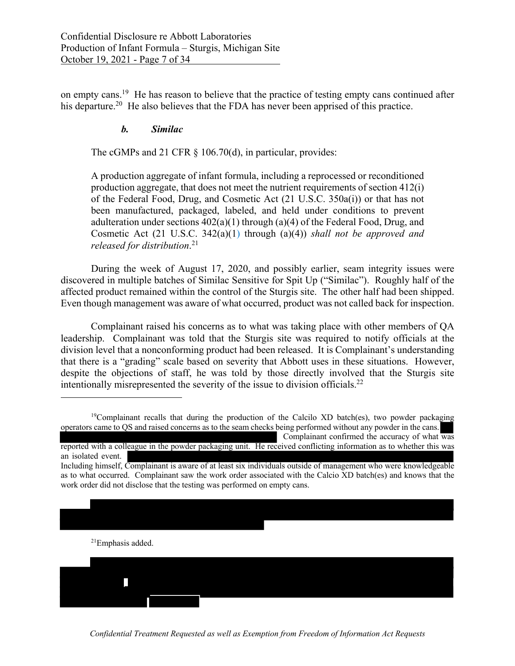on empty cans.19 He has reason to believe that the practice of testing empty cans continued after his departure.<sup>20</sup> He also believes that the FDA has never been apprised of this practice.

## *b. Similac*

The cGMPs and 21 CFR § 106.70(d), in particular, provides:

A production aggregate of infant formula, including a reprocessed or reconditioned production aggregate, that does not meet the nutrient requirements of section 412(i) of the Federal Food, Drug, and Cosmetic Act (21 U.S.C. 350a(i)) or that has not been manufactured, packaged, labeled, and held under conditions to prevent adulteration under sections  $402(a)(1)$  through (a)(4) of the Federal Food, Drug, and Cosmetic Act (21 U.S.C. 342(a)(1) through (a)(4)) *shall not be approved and released for distribution*. 21

 During the week of August 17, 2020, and possibly earlier, seam integrity issues were discovered in multiple batches of Similac Sensitive for Spit Up ("Similac"). Roughly half of the affected product remained within the control of the Sturgis site. The other half had been shipped. Even though management was aware of what occurred, product was not called back for inspection.

 Complainant raised his concerns as to what was taking place with other members of QA leadership.Complainant was told that the Sturgis site was required to notify officials at the division level that a nonconforming product had been released. It is Complainant's understanding that there is a "grading" scale based on severity that Abbott uses in these situations. However, despite the objections of staff, he was told by those directly involved that the Sturgis site intentionally misrepresented the severity of the issue to division officials.22

21Emphasis added. Ī

*Confidential Treatment Requested as well as Exemption from Freedom of Information Act Requests*

<sup>&</sup>lt;sup>19</sup>Complainant recalls that during the production of the Calcilo XD batch(es), two powder packaging operators came to QS and raised concerns as to the seam checks being performed without any powder in the cans.

Complainant confirmed the accuracy of what was reported with a colleague in the powder packaging unit. He received conflicting information as to whether this was an isolated event.

Including himself, Complainant is aware of at least six individuals outside of management who were knowledgeable as to what occurred. Complainant saw the work order associated with the Calcio XD batch(es) and knows that the work order did not disclose that the testing was performed on empty cans.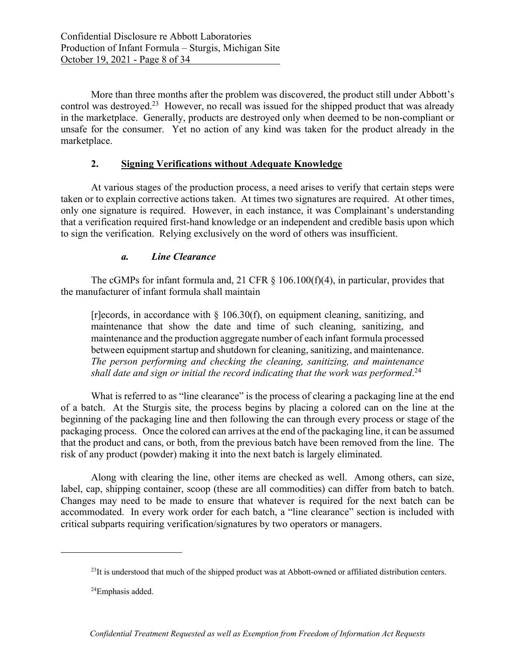More than three months after the problem was discovered, the product still under Abbott's control was destroyed.23 However, no recall was issued for the shipped product that was already in the marketplace. Generally, products are destroyed only when deemed to be non-compliant or unsafe for the consumer. Yet no action of any kind was taken for the product already in the marketplace.

## **2. Signing Verifications without Adequate Knowledge**

At various stages of the production process, a need arises to verify that certain steps were taken or to explain corrective actions taken. At times two signatures are required. At other times, only one signature is required. However, in each instance, it was Complainant's understanding that a verification required first-hand knowledge or an independent and credible basis upon which to sign the verification. Relying exclusively on the word of others was insufficient.

# *a. Line Clearance*

The cGMPs for infant formula and, 21 CFR  $\S$  106.100(f)(4), in particular, provides that the manufacturer of infant formula shall maintain

[r]ecords, in accordance with  $\S$  106.30(f), on equipment cleaning, sanitizing, and maintenance that show the date and time of such cleaning, sanitizing, and maintenance and the production aggregate number of each infant formula processed between equipment startup and shutdown for cleaning, sanitizing, and maintenance. *The person performing and checking the cleaning, sanitizing, and maintenance shall date and sign or initial the record indicating that the work was performed*. 24

What is referred to as "line clearance" is the process of clearing a packaging line at the end of a batch. At the Sturgis site, the process begins by placing a colored can on the line at the beginning of the packaging line and then following the can through every process or stage of the packaging process. Once the colored can arrives at the end of the packaging line, it can be assumed that the product and cans, or both, from the previous batch have been removed from the line. The risk of any product (powder) making it into the next batch is largely eliminated.

Along with clearing the line, other items are checked as well. Among others, can size, label, cap, shipping container, scoop (these are all commodities) can differ from batch to batch. Changes may need to be made to ensure that whatever is required for the next batch can be accommodated. In every work order for each batch, a "line clearance" section is included with critical subparts requiring verification/signatures by two operators or managers.

<sup>&</sup>lt;sup>23</sup>It is understood that much of the shipped product was at Abbott-owned or affiliated distribution centers.

 <sup>24</sup>Emphasis added.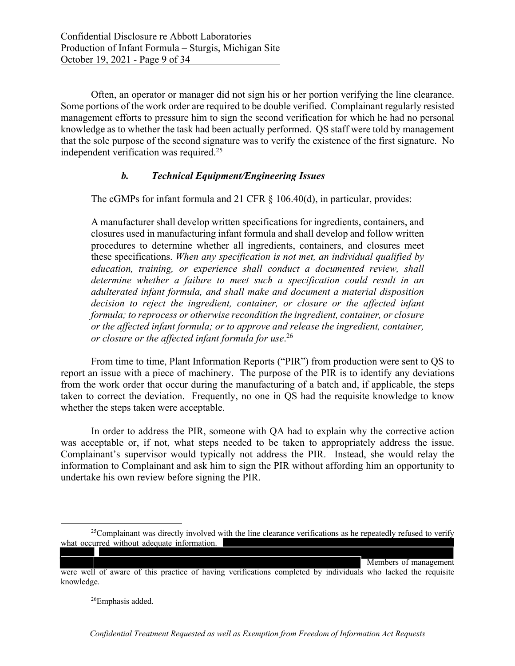Often, an operator or manager did not sign his or her portion verifying the line clearance. Some portions of the work order are required to be double verified. Complainant regularly resisted management efforts to pressure him to sign the second verification for which he had no personal knowledge as to whether the task had been actually performed. QS staff were told by management that the sole purpose of the second signature was to verify the existence of the first signature. No independent verification was required.<sup>25</sup>

## *b. Technical Equipment/Engineering Issues*

The cGMPs for infant formula and 21 CFR  $\S$  106.40(d), in particular, provides:

A manufacturer shall develop written specifications for ingredients, containers, and closures used in manufacturing infant formula and shall develop and follow written procedures to determine whether all ingredients, containers, and closures meet these specifications. *When any specification is not met, an individual qualified by education, training, or experience shall conduct a documented review, shall determine whether a failure to meet such a specification could result in an adulterated infant formula, and shall make and document a material disposition decision to reject the ingredient, container, or closure or the affected infant formula; to reprocess or otherwise recondition the ingredient, container, or closure or the affected infant formula; or to approve and release the ingredient, container, or closure or the affected infant formula for use*. 26

 From time to time, Plant Information Reports ("PIR") from production were sent to QS to report an issue with a piece of machinery. The purpose of the PIR is to identify any deviations from the work order that occur during the manufacturing of a batch and, if applicable, the steps taken to correct the deviation. Frequently, no one in QS had the requisite knowledge to know whether the steps taken were acceptable.

 In order to address the PIR, someone with QA had to explain why the corrective action was acceptable or, if not, what steps needed to be taken to appropriately address the issue. Complainant's supervisor would typically not address the PIR. Instead, she would relay the information to Complainant and ask him to sign the PIR without affording him an opportunity to undertake his own review before signing the PIR.

Members of management

26Emphasis added.

<sup>&</sup>lt;sup>25</sup>Complainant was directly involved with the line clearance verifications as he repeatedly refused to verify what occurred without adequate information.

were well of aware of this practice of having verifications completed by individuals who lacked the requisite knowledge.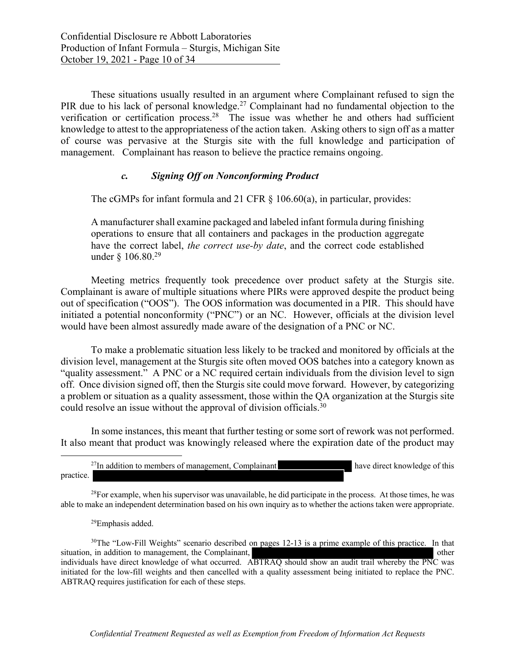These situations usually resulted in an argument where Complainant refused to sign the PIR due to his lack of personal knowledge.<sup>27</sup> Complainant had no fundamental objection to the verification or certification process.<sup>28</sup> The issue was whether he and others had sufficient knowledge to attest to the appropriateness of the action taken. Asking others to sign off as a matter of course was pervasive at the Sturgis site with the full knowledge and participation of management. Complainant has reason to believe the practice remains ongoing.

### *c. Signing Off on Nonconforming Product*

The cGMPs for infant formula and 21 CFR § 106.60(a), in particular, provides:

A manufacturer shall examine packaged and labeled infant formula during finishing operations to ensure that all containers and packages in the production aggregate have the correct label, *the correct use-by date*, and the correct code established under  $\frac{106.80^{29}}{200}$ 

 Meeting metrics frequently took precedence over product safety at the Sturgis site. Complainant is aware of multiple situations where PIRs were approved despite the product being out of specification ("OOS"). The OOS information was documented in a PIR. This should have initiated a potential nonconformity ("PNC") or an NC. However, officials at the division level would have been almost assuredly made aware of the designation of a PNC or NC.

 To make a problematic situation less likely to be tracked and monitored by officials at the division level, management at the Sturgis site often moved OOS batches into a category known as "quality assessment." A PNC or a NC required certain individuals from the division level to sign off. Once division signed off, then the Sturgis site could move forward. However, by categorizing a problem or situation as a quality assessment, those within the QA organization at the Sturgis site could resolve an issue without the approval of division officials.30

 In some instances, this meant that further testing or some sort of rework was not performed. It also meant that product was knowingly released where the expiration date of the product may

<sup>27</sup>In addition to members of management, Complainant have direct knowledge of this practice.

<sup>28</sup>For example, when his supervisor was unavailable, he did participate in the process. At those times, he was able to make an independent determination based on his own inquiry as to whether the actions taken were appropriate.

29Emphasis added.

<sup>30</sup>The "Low-Fill Weights" scenario described on pages 12-13 is a prime example of this practice. In that situation, in addition to management, the Complainant,  $\blacksquare$ individuals have direct knowledge of what occurred. ABTRAQ should show an audit trail whereby the PNC was initiated for the low-fill weights and then cancelled with a quality assessment being initiated to replace the PNC. ABTRAQ requires justification for each of these steps.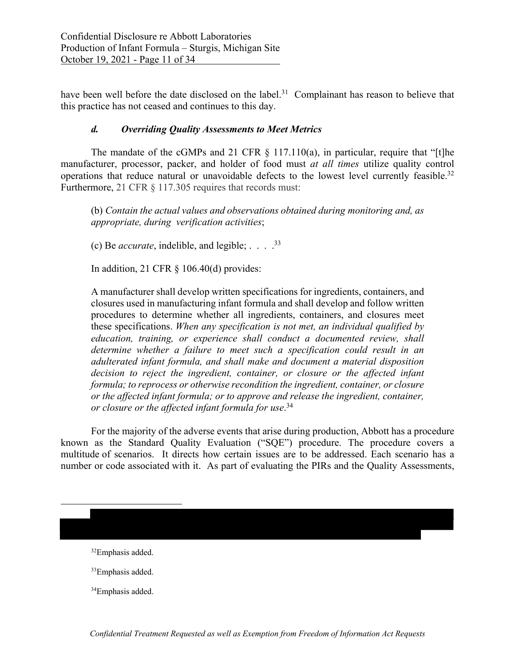have been well before the date disclosed on the label.<sup>31</sup> Complainant has reason to believe that this practice has not ceased and continues to this day.

## *d. Overriding Quality Assessments to Meet Metrics*

The mandate of the cGMPs and 21 CFR  $\S$  117.110(a), in particular, require that "[t]he manufacturer, processor, packer, and holder of food must *at all times* utilize quality control operations that reduce natural or unavoidable defects to the lowest level currently feasible.<sup>32</sup> Furthermore, 21 CFR § 117.305 requires that records must:

(b) *Contain the actual values and observations obtained during monitoring and, as appropriate, during verification activities*;

(c) Be *accurate*, indelible, and legible; . . . .33

In addition, 21 CFR  $\S$  106.40(d) provides:

A manufacturer shall develop written specifications for ingredients, containers, and closures used in manufacturing infant formula and shall develop and follow written procedures to determine whether all ingredients, containers, and closures meet these specifications. *When any specification is not met, an individual qualified by education, training, or experience shall conduct a documented review, shall determine whether a failure to meet such a specification could result in an adulterated infant formula, and shall make and document a material disposition decision to reject the ingredient, container, or closure or the affected infant formula; to reprocess or otherwise recondition the ingredient, container, or closure or the affected infant formula; or to approve and release the ingredient, container, or closure or the affected infant formula for use*. 34

For the majority of the adverse events that arise during production, Abbott has a procedure known as the Standard Quality Evaluation ("SQE") procedure. The procedure covers a multitude of scenarios. It directs how certain issues are to be addressed. Each scenario has a number or code associated with it. As part of evaluating the PIRs and the Quality Assessments,

32Emphasis added.

- <sup>33</sup>Emphasis added.
- 34Emphasis added.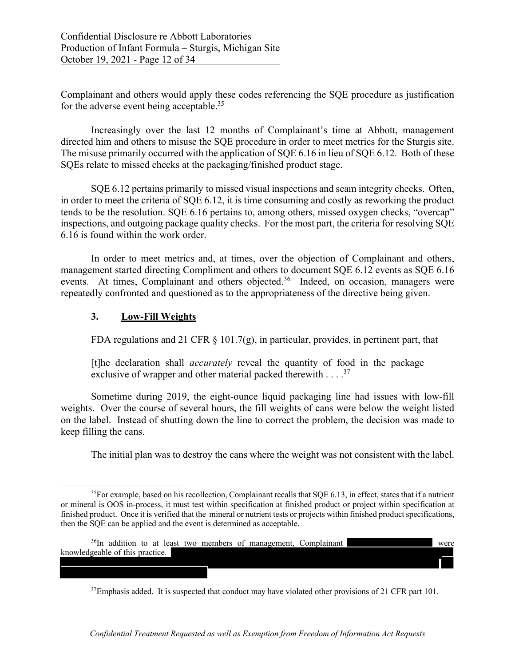Complainant and others would apply these codes referencing the SQE procedure as justification for the adverse event being acceptable.<sup>35</sup>

Increasingly over the last 12 months of Complainant's time at Abbott, management directed him and others to misuse the SQE procedure in order to meet metrics for the Sturgis site. The misuse primarily occurred with the application of SQE 6.16 in lieu of SQE 6.12. Both of these SQEs relate to missed checks at the packaging/finished product stage.

 SQE 6.12 pertains primarily to missed visual inspections and seam integrity checks. Often, in order to meet the criteria of SQE 6.12, it is time consuming and costly as reworking the product tends to be the resolution. SQE 6.16 pertains to, among others, missed oxygen checks, "overcap" inspections, and outgoing package quality checks. For the most part, the criteria for resolving SQE 6.16 is found within the work order.

 In order to meet metrics and, at times, over the objection of Complainant and others, management started directing Compliment and others to document SQE 6.12 events as SQE 6.16 events. At times, Complainant and others objected.<sup>36</sup> Indeed, on occasion, managers were repeatedly confronted and questioned as to the appropriateness of the directive being given.

### **3. Low-Fill Weights**

FDA regulations and 21 CFR  $\S$  101.7(g), in particular, provides, in pertinent part, that

[t]he declaration shall *accurately* reveal the quantity of food in the package exclusive of wrapper and other material packed therewith  $\dots$  .<sup>37</sup>

 Sometime during 2019, the eight-ounce liquid packaging line had issues with low-fill weights. Over the course of several hours, the fill weights of cans were below the weight listed on the label. Instead of shutting down the line to correct the problem, the decision was made to keep filling the cans.

The initial plan was to destroy the cans where the weight was not consistent with the label.

٦

<sup>37</sup>Emphasis added. It is suspected that conduct may have violated other provisions of 21 CFR part 101.

*Confidential Treatment Requested as well as Exemption from Freedom of Information Act Requests*

 $35$ For example, based on his recollection, Complainant recalls that SQE 6.13, in effect, states that if a nutrient or mineral is OOS in-process, it must test within specification at finished product or project within specification at finished product. Once it is verified that the mineral or nutrient tests or projects within finished product specifications, then the SQE can be applied and the event is determined as acceptable.

<sup>&</sup>lt;sup>36</sup>In addition to at least two members of management, Complainant were knowledgeable of this practice.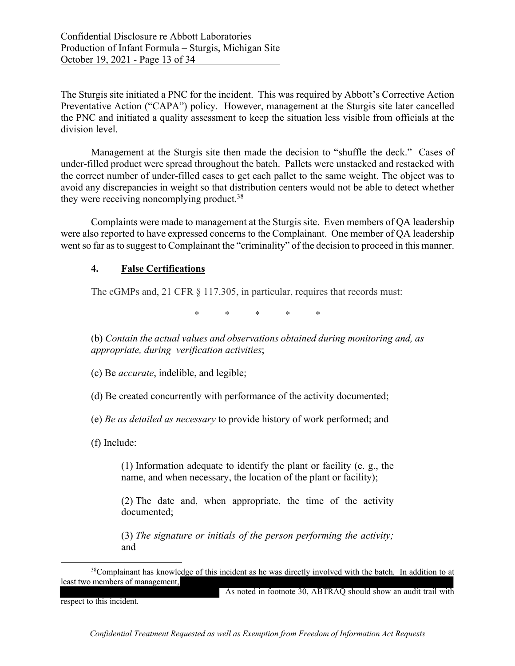The Sturgis site initiated a PNC for the incident. This was required by Abbott's Corrective Action Preventative Action ("CAPA") policy. However, management at the Sturgis site later cancelled the PNC and initiated a quality assessment to keep the situation less visible from officials at the division level.

Management at the Sturgis site then made the decision to "shuffle the deck." Cases of under-filled product were spread throughout the batch. Pallets were unstacked and restacked with the correct number of under-filled cases to get each pallet to the same weight. The object was to avoid any discrepancies in weight so that distribution centers would not be able to detect whether they were receiving noncomplying product.<sup>38</sup>

Complaints were made to management at the Sturgis site. Even members of QA leadership were also reported to have expressed concerns to the Complainant. One member of QA leadership went so far as to suggest to Complainant the "criminality" of the decision to proceed in this manner.

### **4. False Certifications**

The cGMPs and, 21 CFR § 117.305, in particular, requires that records must:

\* \* \* \* \*

(b) *Contain the actual values and observations obtained during monitoring and, as appropriate, during verification activities*;

(c) Be *accurate*, indelible, and legible;

(d) Be created concurrently with performance of the activity documented;

(e) *Be as detailed as necessary* to provide history of work performed; and

(f) Include:

(1) Information adequate to identify the plant or facility (e. g., the name, and when necessary, the location of the plant or facility);

(2) The date and, when appropriate, the time of the activity documented;

(3) *The signature or initials of the person performing the activity;* and

As noted in footnote 30, ABTRAQ should show an audit trail with

respect to this incident.

<sup>&</sup>lt;sup>38</sup>Complainant has knowledge of this incident as he was directly involved with the batch. In addition to at least two members of management,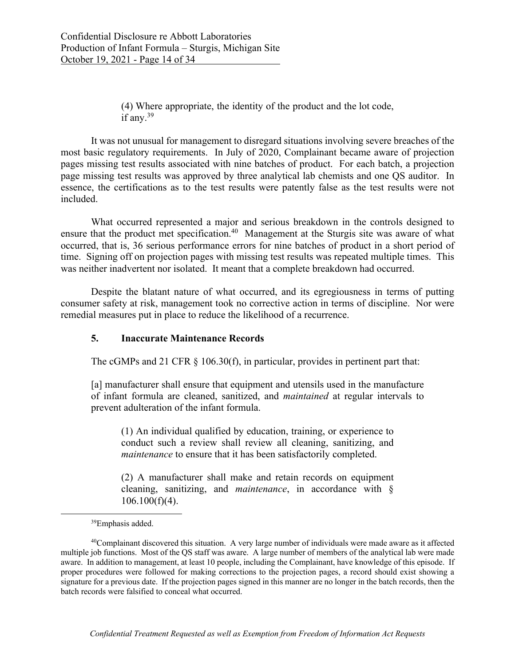(4) Where appropriate, the identity of the product and the lot code, if any. $39$ 

It was not unusual for management to disregard situations involving severe breaches of the most basic regulatory requirements. In July of 2020, Complainant became aware of projection pages missing test results associated with nine batches of product. For each batch, a projection page missing test results was approved by three analytical lab chemists and one QS auditor. In essence, the certifications as to the test results were patently false as the test results were not included.

What occurred represented a major and serious breakdown in the controls designed to ensure that the product met specification.<sup>40</sup> Management at the Sturgis site was aware of what occurred, that is, 36 serious performance errors for nine batches of product in a short period of time. Signing off on projection pages with missing test results was repeated multiple times. This was neither inadvertent nor isolated. It meant that a complete breakdown had occurred.

Despite the blatant nature of what occurred, and its egregiousness in terms of putting consumer safety at risk, management took no corrective action in terms of discipline. Nor were remedial measures put in place to reduce the likelihood of a recurrence.

### **5. Inaccurate Maintenance Records**

The cGMPs and 21 CFR  $\S$  106.30(f), in particular, provides in pertinent part that:

[a] manufacturer shall ensure that equipment and utensils used in the manufacture of infant formula are cleaned, sanitized, and *maintained* at regular intervals to prevent adulteration of the infant formula.

(1) An individual qualified by education, training, or experience to conduct such a review shall review all cleaning, sanitizing, and *maintenance* to ensure that it has been satisfactorily completed.

(2) A manufacturer shall make and retain records on equipment cleaning, sanitizing, and *maintenance*, in accordance with §  $106.100(f)(4)$ .

<sup>39</sup>Emphasis added.

<sup>40</sup>Complainant discovered this situation. A very large number of individuals were made aware as it affected multiple job functions. Most of the QS staff was aware. A large number of members of the analytical lab were made aware. In addition to management, at least 10 people, including the Complainant, have knowledge of this episode. If proper procedures were followed for making corrections to the projection pages, a record should exist showing a signature for a previous date. If the projection pages signed in this manner are no longer in the batch records, then the batch records were falsified to conceal what occurred.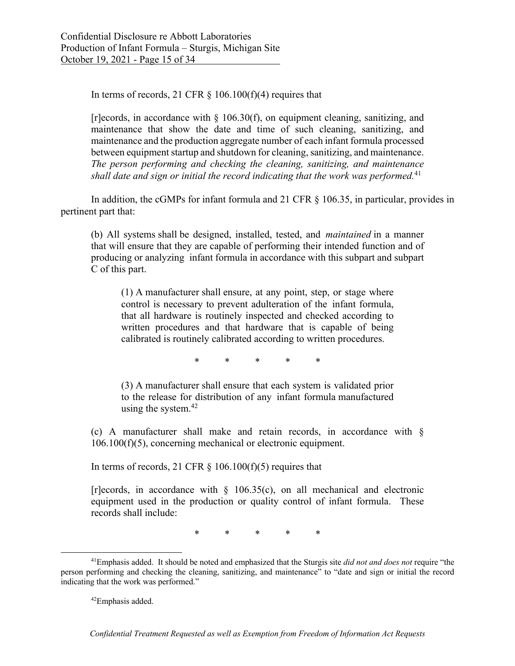In terms of records, 21 CFR  $\S$  106.100(f)(4) requires that

 $[r]$ ecords, in accordance with § 106.30(f), on equipment cleaning, sanitizing, and maintenance that show the date and time of such cleaning, sanitizing, and maintenance and the production aggregate number of each infant formula processed between equipment startup and shutdown for cleaning, sanitizing, and maintenance. *The person performing and checking the cleaning, sanitizing, and maintenance shall date and sign or initial the record indicating that the work was performed.*<sup>41</sup>

In addition, the cGMPs for infant formula and 21 CFR § 106.35, in particular, provides in pertinent part that:

(b) All systems shall be designed, installed, tested, and *maintained* in a manner that will ensure that they are capable of performing their intended function and of producing or analyzing infant formula in accordance with this subpart and subpart C of this part.

(1) A manufacturer shall ensure, at any point, step, or stage where control is necessary to prevent adulteration of the infant formula, that all hardware is routinely inspected and checked according to written procedures and that hardware that is capable of being calibrated is routinely calibrated according to written procedures.

\* \* \* \* \*

(3) A manufacturer shall ensure that each system is validated prior to the release for distribution of any infant formula manufactured using the system. $42$ 

(c) A manufacturer shall make and retain records, in accordance with § 106.100(f)(5), concerning mechanical or electronic equipment.

In terms of records, 21 CFR  $\S$  106.100(f)(5) requires that

[r]ecords, in accordance with  $\S$  106.35(c), on all mechanical and electronic equipment used in the production or quality control of infant formula. These records shall include:

\* \* \* \* \*

<sup>41</sup>Emphasis added. It should be noted and emphasized that the Sturgis site *did not and does not* require "the person performing and checking the cleaning, sanitizing, and maintenance" to "date and sign or initial the record indicating that the work was performed."

<sup>42</sup>Emphasis added.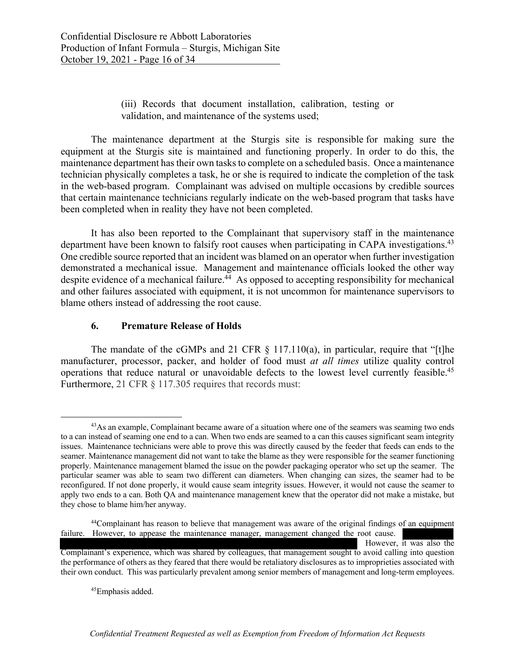## (iii) Records that document installation, calibration, testing or validation, and maintenance of the systems used;

The maintenance department at the Sturgis site is responsible for making sure the equipment at the Sturgis site is maintained and functioning properly. In order to do this, the maintenance department has their own tasks to complete on a scheduled basis. Once a maintenance technician physically completes a task, he or she is required to indicate the completion of the task in the web-based program. Complainant was advised on multiple occasions by credible sources that certain maintenance technicians regularly indicate on the web-based program that tasks have been completed when in reality they have not been completed.

It has also been reported to the Complainant that supervisory staff in the maintenance department have been known to falsify root causes when participating in CAPA investigations.<sup>43</sup> One credible source reported that an incident was blamed on an operator when further investigation demonstrated a mechanical issue. Management and maintenance officials looked the other way despite evidence of a mechanical failure.<sup>44</sup> As opposed to accepting responsibility for mechanical and other failures associated with equipment, it is not uncommon for maintenance supervisors to blame others instead of addressing the root cause.

## **6. Premature Release of Holds**

The mandate of the cGMPs and 21 CFR  $\S$  117.110(a), in particular, require that "[t]he manufacturer, processor, packer, and holder of food must *at all times* utilize quality control operations that reduce natural or unavoidable defects to the lowest level currently feasible.45 Furthermore, 21 CFR § 117.305 requires that records must:

However, it was also the Complainant's experience, which was shared by colleagues, that management sought to avoid calling into question the performance of others as they feared that there would be retaliatory disclosures as to improprieties associated with their own conduct. This was particularly prevalent among senior members of management and long-term employees.

45Emphasis added.

<sup>&</sup>lt;sup>43</sup>As an example, Complainant became aware of a situation where one of the seamers was seaming two ends to a can instead of seaming one end to a can. When two ends are seamed to a can this causes significant seam integrity issues. Maintenance technicians were able to prove this was directly caused by the feeder that feeds can ends to the seamer. Maintenance management did not want to take the blame as they were responsible for the seamer functioning properly. Maintenance management blamed the issue on the powder packaging operator who set up the seamer. The particular seamer was able to seam two different can diameters. When changing can sizes, the seamer had to be reconfigured. If not done properly, it would cause seam integrity issues. However, it would not cause the seamer to apply two ends to a can. Both QA and maintenance management knew that the operator did not make a mistake, but they chose to blame him/her anyway.

<sup>&</sup>lt;sup>44</sup>Complainant has reason to believe that management was aware of the original findings of an equipment failure. However, to appease the maintenance manager, management changed the root cause.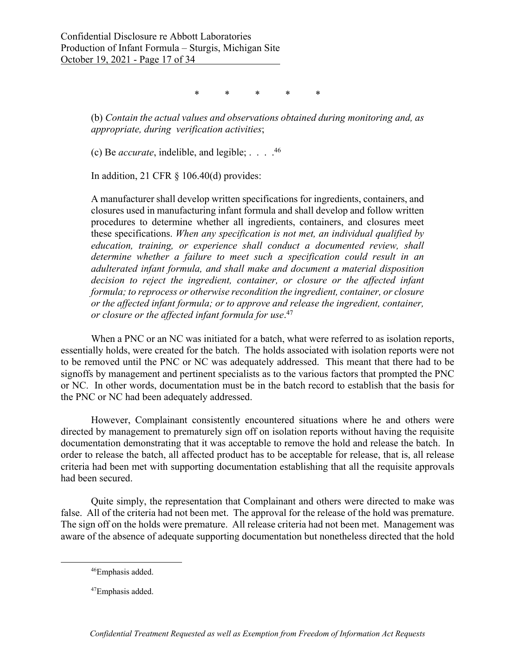\* \* \* \* \*

(b) *Contain the actual values and observations obtained during monitoring and, as appropriate, during verification activities*;

(c) Be *accurate*, indelible, and legible; . . . .46

In addition, 21 CFR  $\S$  106.40(d) provides:

A manufacturer shall develop written specifications for ingredients, containers, and closures used in manufacturing infant formula and shall develop and follow written procedures to determine whether all ingredients, containers, and closures meet these specifications. *When any specification is not met, an individual qualified by education, training, or experience shall conduct a documented review, shall determine whether a failure to meet such a specification could result in an adulterated infant formula, and shall make and document a material disposition decision to reject the ingredient, container, or closure or the affected infant formula; to reprocess or otherwise recondition the ingredient, container, or closure or the affected infant formula; or to approve and release the ingredient, container, or closure or the affected infant formula for use*. 47

When a PNC or an NC was initiated for a batch, what were referred to as isolation reports, essentially holds, were created for the batch. The holds associated with isolation reports were not to be removed until the PNC or NC was adequately addressed. This meant that there had to be signoffs by management and pertinent specialists as to the various factors that prompted the PNC or NC. In other words, documentation must be in the batch record to establish that the basis for the PNC or NC had been adequately addressed.

However, Complainant consistently encountered situations where he and others were directed by management to prematurely sign off on isolation reports without having the requisite documentation demonstrating that it was acceptable to remove the hold and release the batch. In order to release the batch, all affected product has to be acceptable for release, that is, all release criteria had been met with supporting documentation establishing that all the requisite approvals had been secured.

Quite simply, the representation that Complainant and others were directed to make was false. All of the criteria had not been met. The approval for the release of the hold was premature. The sign off on the holds were premature. All release criteria had not been met. Management was aware of the absence of adequate supporting documentation but nonetheless directed that the hold

<sup>46</sup>Emphasis added.

<sup>47</sup>Emphasis added.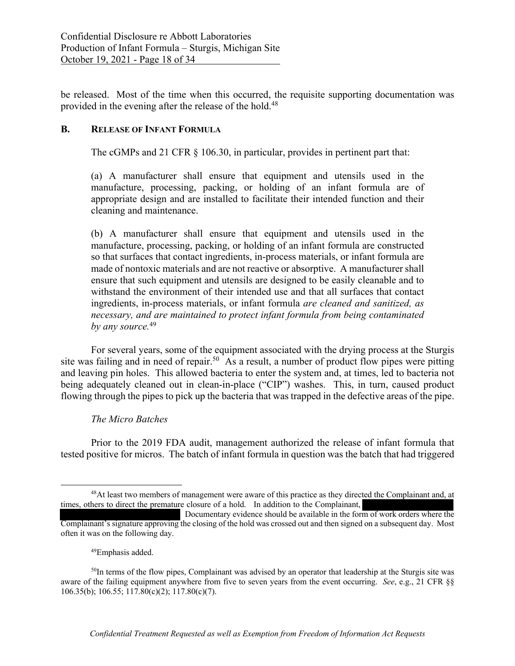be released. Most of the time when this occurred, the requisite supporting documentation was provided in the evening after the release of the hold.<sup>48</sup>

### **B. RELEASE OF INFANT FORMULA**

The cGMPs and 21 CFR § 106.30, in particular, provides in pertinent part that:

(a) A manufacturer shall ensure that equipment and utensils used in the manufacture, processing, packing, or holding of an infant formula are of appropriate design and are installed to facilitate their intended function and their cleaning and maintenance.

(b) A manufacturer shall ensure that equipment and utensils used in the manufacture, processing, packing, or holding of an infant formula are constructed so that surfaces that contact ingredients, in-process materials, or infant formula are made of nontoxic materials and are not reactive or absorptive. A manufacturer shall ensure that such equipment and utensils are designed to be easily cleanable and to withstand the environment of their intended use and that all surfaces that contact ingredients, in-process materials, or infant formula *are cleaned and sanitized, as necessary, and are maintained to protect infant formula from being contaminated by any source.*<sup>49</sup>

For several years, some of the equipment associated with the drying process at the Sturgis site was failing and in need of repair.<sup>50</sup> As a result, a number of product flow pipes were pitting and leaving pin holes. This allowed bacteria to enter the system and, at times, led to bacteria not being adequately cleaned out in clean-in-place ("CIP") washes. This, in turn, caused product flowing through the pipes to pick up the bacteria that was trapped in the defective areas of the pipe.

### *The Micro Batches*

Prior to the 2019 FDA audit, management authorized the release of infant formula that tested positive for micros. The batch of infant formula in question was the batch that had triggered

<sup>&</sup>lt;sup>48</sup>At least two members of management were aware of this practice as they directed the Complainant and, at times, others to direct the premature closure of a hold. In addition to the Complainant,

Documentary evidence should be available in the form of work orders where the Complainant's signature approving the closing of the hold was crossed out and then signed on a subsequent day. Most often it was on the following day.

 <sup>49</sup>Emphasis added.

<sup>&</sup>lt;sup>50</sup>In terms of the flow pipes, Complainant was advised by an operator that leadership at the Sturgis site was aware of the failing equipment anywhere from five to seven years from the event occurring. *See*, e.g., 21 CFR §§ 106.35(b); 106.55; 117.80(c)(2); 117.80(c)(7).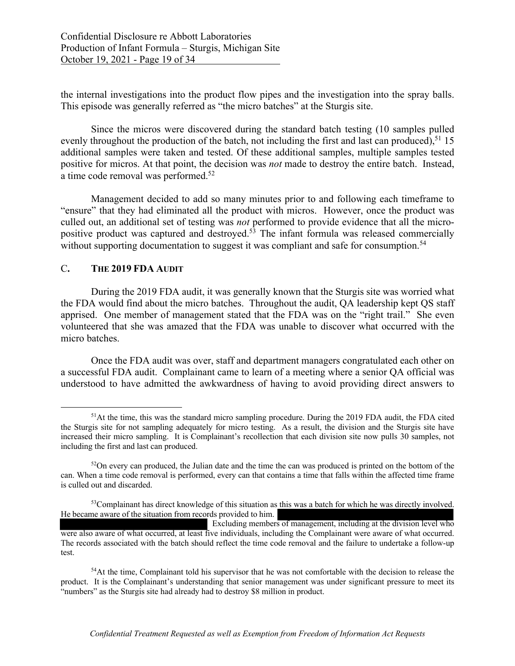the internal investigations into the product flow pipes and the investigation into the spray balls. This episode was generally referred as "the micro batches" at the Sturgis site.

Since the micros were discovered during the standard batch testing (10 samples pulled evenly throughout the production of the batch, not including the first and last can produced),<sup>51</sup> 15 additional samples were taken and tested. Of these additional samples, multiple samples tested positive for micros. At that point, the decision was *not* made to destroy the entire batch. Instead, a time code removal was performed.52

Management decided to add so many minutes prior to and following each timeframe to "ensure" that they had eliminated all the product with micros. However, once the product was culled out, an additional set of testing was *not* performed to provide evidence that all the micropositive product was captured and destroyed.<sup>53</sup> The infant formula was released commercially without supporting documentation to suggest it was compliant and safe for consumption.<sup>54</sup>

#### C**. THE 2019 FDA AUDIT**

During the 2019 FDA audit, it was generally known that the Sturgis site was worried what the FDA would find about the micro batches. Throughout the audit, QA leadership kept QS staff apprised. One member of management stated that the FDA was on the "right trail." She even volunteered that she was amazed that the FDA was unable to discover what occurred with the micro batches.

Once the FDA audit was over, staff and department managers congratulated each other on a successful FDA audit. Complainant came to learn of a meeting where a senior QA official was understood to have admitted the awkwardness of having to avoid providing direct answers to

<sup>&</sup>lt;sup>51</sup>At the time, this was the standard micro sampling procedure. During the 2019 FDA audit, the FDA cited the Sturgis site for not sampling adequately for micro testing. As a result, the division and the Sturgis site have increased their micro sampling. It is Complainant's recollection that each division site now pulls 30 samples, not including the first and last can produced.

 $52$ On every can produced, the Julian date and the time the can was produced is printed on the bottom of the can. When a time code removal is performed, every can that contains a time that falls within the affected time frame is culled out and discarded.

<sup>&</sup>lt;sup>53</sup>Complainant has direct knowledge of this situation as this was a batch for which he was directly involved. He became aware of the situation from records provided to him.

Excluding members of management, including at the division level who were also aware of what occurred, at least five individuals, including the Complainant were aware of what occurred. The records associated with the batch should reflect the time code removal and the failure to undertake a follow-up test.

<sup>&</sup>lt;sup>54</sup>At the time, Complainant told his supervisor that he was not comfortable with the decision to release the product. It is the Complainant's understanding that senior management was under significant pressure to meet its "numbers" as the Sturgis site had already had to destroy \$8 million in product.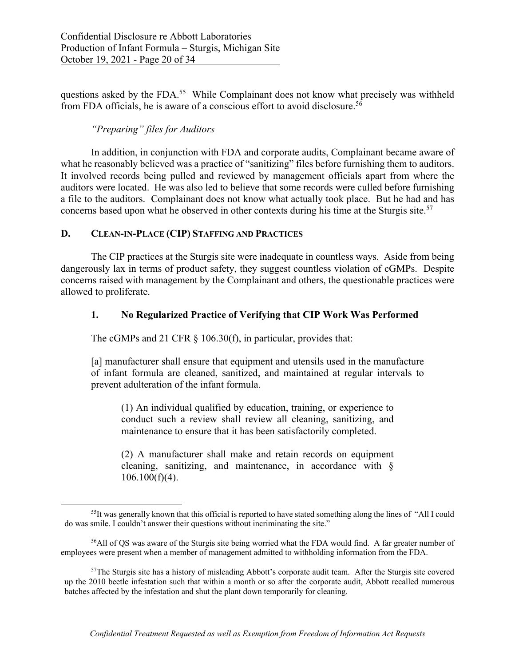questions asked by the FDA.<sup>55</sup> While Complainant does not know what precisely was withheld from FDA officials, he is aware of a conscious effort to avoid disclosure.56

## *"Preparing" files for Auditors*

In addition, in conjunction with FDA and corporate audits, Complainant became aware of what he reasonably believed was a practice of "sanitizing" files before furnishing them to auditors. It involved records being pulled and reviewed by management officials apart from where the auditors were located. He was also led to believe that some records were culled before furnishing a file to the auditors. Complainant does not know what actually took place. But he had and has concerns based upon what he observed in other contexts during his time at the Sturgis site.<sup>57</sup>

### **D. CLEAN-IN-PLACE (CIP) STAFFING AND PRACTICES**

The CIP practices at the Sturgis site were inadequate in countless ways. Aside from being dangerously lax in terms of product safety, they suggest countless violation of cGMPs. Despite concerns raised with management by the Complainant and others, the questionable practices were allowed to proliferate.

## **1. No Regularized Practice of Verifying that CIP Work Was Performed**

The cGMPs and 21 CFR  $\S$  106.30(f), in particular, provides that:

[a] manufacturer shall ensure that equipment and utensils used in the manufacture of infant formula are cleaned, sanitized, and maintained at regular intervals to prevent adulteration of the infant formula.

(1) An individual qualified by education, training, or experience to conduct such a review shall review all cleaning, sanitizing, and maintenance to ensure that it has been satisfactorily completed.

(2) A manufacturer shall make and retain records on equipment cleaning, sanitizing, and maintenance, in accordance with §  $106.100(f)(4)$ .

<sup>&</sup>lt;sup>55</sup>It was generally known that this official is reported to have stated something along the lines of "All I could do was smile. I couldn't answer their questions without incriminating the site."

<sup>56</sup>All of QS was aware of the Sturgis site being worried what the FDA would find. A far greater number of employees were present when a member of management admitted to withholding information from the FDA.

<sup>&</sup>lt;sup>57</sup>The Sturgis site has a history of misleading Abbott's corporate audit team. After the Sturgis site covered up the 2010 beetle infestation such that within a month or so after the corporate audit, Abbott recalled numerous batches affected by the infestation and shut the plant down temporarily for cleaning.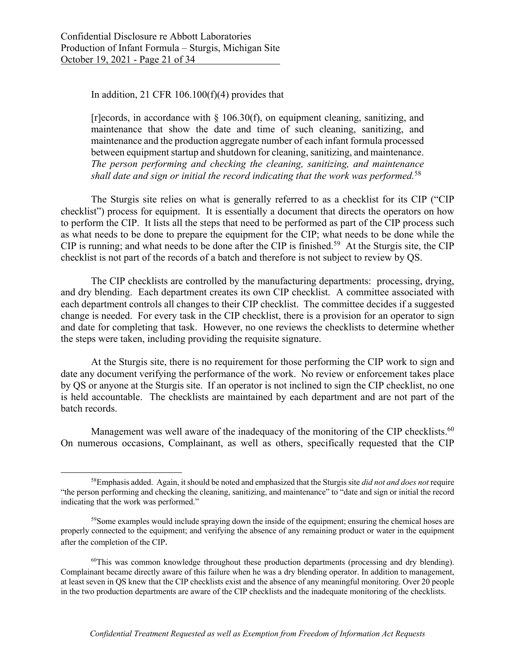In addition, 21 CFR  $106.100(f)(4)$  provides that

 $[r]$ ecords, in accordance with § 106.30(f), on equipment cleaning, sanitizing, and maintenance that show the date and time of such cleaning, sanitizing, and maintenance and the production aggregate number of each infant formula processed between equipment startup and shutdown for cleaning, sanitizing, and maintenance. *The person performing and checking the cleaning, sanitizing, and maintenance shall date and sign or initial the record indicating that the work was performed.*<sup>58</sup>

The Sturgis site relies on what is generally referred to as a checklist for its CIP ("CIP checklist") process for equipment. It is essentially a document that directs the operators on how to perform the CIP. It lists all the steps that need to be performed as part of the CIP process such as what needs to be done to prepare the equipment for the CIP; what needs to be done while the CIP is running; and what needs to be done after the CIP is finished.<sup>59</sup> At the Sturgis site, the CIP checklist is not part of the records of a batch and therefore is not subject to review by QS.

The CIP checklists are controlled by the manufacturing departments: processing, drying, and dry blending. Each department creates its own CIP checklist. A committee associated with each department controls all changes to their CIP checklist. The committee decides if a suggested change is needed. For every task in the CIP checklist, there is a provision for an operator to sign and date for completing that task. However, no one reviews the checklists to determine whether the steps were taken, including providing the requisite signature.

At the Sturgis site, there is no requirement for those performing the CIP work to sign and date any document verifying the performance of the work. No review or enforcement takes place by QS or anyone at the Sturgis site. If an operator is not inclined to sign the CIP checklist, no one is held accountable. The checklists are maintained by each department and are not part of the batch records.

Management was well aware of the inadequacy of the monitoring of the CIP checklists.<sup>60</sup> On numerous occasions, Complainant, as well as others, specifically requested that the CIP

<sup>58</sup>Emphasis added. Again, it should be noted and emphasized that the Sturgis site *did not and does not* require "the person performing and checking the cleaning, sanitizing, and maintenance" to "date and sign or initial the record indicating that the work was performed."

<sup>&</sup>lt;sup>59</sup>Some examples would include spraying down the inside of the equipment; ensuring the chemical hoses are properly connected to the equipment; and verifying the absence of any remaining product or water in the equipment after the completion of the CIP.

 $60$ This was common knowledge throughout these production departments (processing and dry blending). Complainant became directly aware of this failure when he was a dry blending operator. In addition to management, at least seven in QS knew that the CIP checklists exist and the absence of any meaningful monitoring. Over 20 people in the two production departments are aware of the CIP checklists and the inadequate monitoring of the checklists.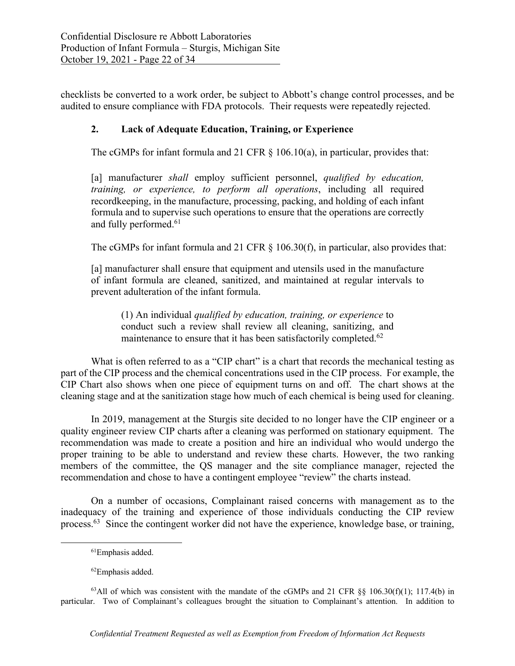checklists be converted to a work order, be subject to Abbott's change control processes, and be audited to ensure compliance with FDA protocols. Their requests were repeatedly rejected.

## **2. Lack of Adequate Education, Training, or Experience**

The cGMPs for infant formula and 21 CFR  $\S$  106.10(a), in particular, provides that:

[a] manufacturer *shall* employ sufficient personnel, *qualified by education, training, or experience, to perform all operations*, including all required recordkeeping, in the manufacture, processing, packing, and holding of each infant formula and to supervise such operations to ensure that the operations are correctly and fully performed.<sup>61</sup>

The cGMPs for infant formula and 21 CFR § 106.30(f), in particular, also provides that:

[a] manufacturer shall ensure that equipment and utensils used in the manufacture of infant formula are cleaned, sanitized, and maintained at regular intervals to prevent adulteration of the infant formula.

(1) An individual *qualified by education, training, or experience* to conduct such a review shall review all cleaning, sanitizing, and maintenance to ensure that it has been satisfactorily completed.<sup>62</sup>

What is often referred to as a "CIP chart" is a chart that records the mechanical testing as part of the CIP process and the chemical concentrations used in the CIP process. For example, the CIP Chart also shows when one piece of equipment turns on and off. The chart shows at the cleaning stage and at the sanitization stage how much of each chemical is being used for cleaning.

In 2019, management at the Sturgis site decided to no longer have the CIP engineer or a quality engineer review CIP charts after a cleaning was performed on stationary equipment. The recommendation was made to create a position and hire an individual who would undergo the proper training to be able to understand and review these charts. However, the two ranking members of the committee, the QS manager and the site compliance manager, rejected the recommendation and chose to have a contingent employee "review" the charts instead.

On a number of occasions, Complainant raised concerns with management as to the inadequacy of the training and experience of those individuals conducting the CIP review process.63 Since the contingent worker did not have the experience, knowledge base, or training,

<sup>61</sup>Emphasis added.

<sup>62</sup>Emphasis added.

<sup>&</sup>lt;sup>63</sup>All of which was consistent with the mandate of the cGMPs and 21 CFR §§ 106.30(f)(1); 117.4(b) in particular. Two of Complainant's colleagues brought the situation to Complainant's attention. In addition to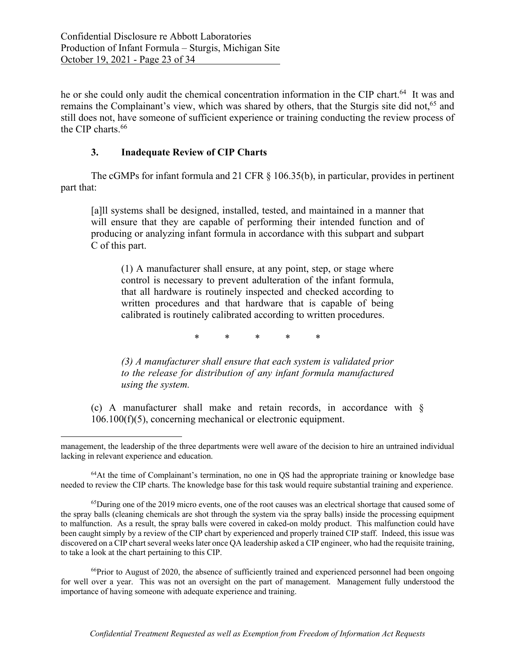he or she could only audit the chemical concentration information in the CIP chart.<sup>64</sup> It was and remains the Complainant's view, which was shared by others, that the Sturgis site did not,<sup>65</sup> and still does not, have someone of sufficient experience or training conducting the review process of the CIP charts. 66

## **3. Inadequate Review of CIP Charts**

The cGMPs for infant formula and 21 CFR § 106.35(b), in particular, provides in pertinent part that:

[a]ll systems shall be designed, installed, tested, and maintained in a manner that will ensure that they are capable of performing their intended function and of producing or analyzing infant formula in accordance with this subpart and subpart C of this part.

(1) A manufacturer shall ensure, at any point, step, or stage where control is necessary to prevent adulteration of the infant formula, that all hardware is routinely inspected and checked according to written procedures and that hardware that is capable of being calibrated is routinely calibrated according to written procedures.

\* \* \* \* \*

*(3) A manufacturer shall ensure that each system is validated prior to the release for distribution of any infant formula manufactured using the system.*

(c) A manufacturer shall make and retain records, in accordance with § 106.100(f)(5), concerning mechanical or electronic equipment.

<sup>64</sup>At the time of Complainant's termination, no one in QS had the appropriate training or knowledge base needed to review the CIP charts. The knowledge base for this task would require substantial training and experience.

<sup>66</sup>Prior to August of 2020, the absence of sufficiently trained and experienced personnel had been ongoing for well over a year. This was not an oversight on the part of management. Management fully understood the importance of having someone with adequate experience and training.

management, the leadership of the three departments were well aware of the decision to hire an untrained individual lacking in relevant experience and education.

<sup>&</sup>lt;sup>65</sup>During one of the 2019 micro events, one of the root causes was an electrical shortage that caused some of the spray balls (cleaning chemicals are shot through the system via the spray balls) inside the processing equipment to malfunction. As a result, the spray balls were covered in caked-on moldy product. This malfunction could have been caught simply by a review of the CIP chart by experienced and properly trained CIP staff. Indeed, this issue was discovered on a CIP chart several weeks later once QA leadership asked a CIP engineer, who had the requisite training, to take a look at the chart pertaining to this CIP.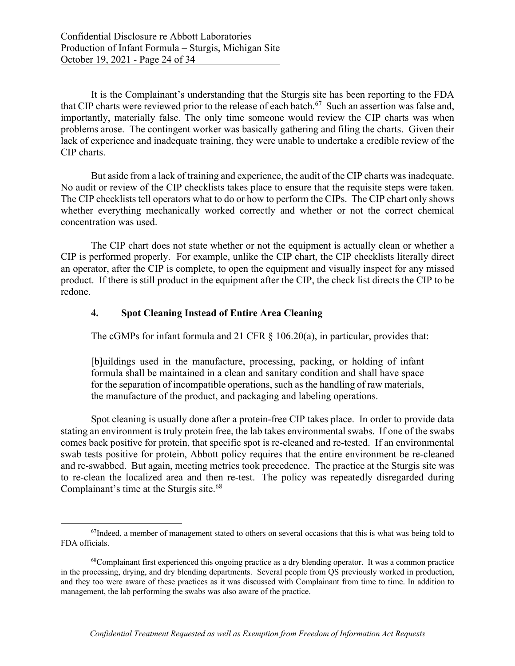It is the Complainant's understanding that the Sturgis site has been reporting to the FDA that CIP charts were reviewed prior to the release of each batch.<sup>67</sup> Such an assertion was false and, importantly, materially false. The only time someone would review the CIP charts was when problems arose. The contingent worker was basically gathering and filing the charts. Given their lack of experience and inadequate training, they were unable to undertake a credible review of the CIP charts.

But aside from a lack of training and experience, the audit of the CIP charts was inadequate. No audit or review of the CIP checklists takes place to ensure that the requisite steps were taken. The CIP checklists tell operators what to do or how to perform the CIPs. The CIP chart only shows whether everything mechanically worked correctly and whether or not the correct chemical concentration was used.

The CIP chart does not state whether or not the equipment is actually clean or whether a CIP is performed properly. For example, unlike the CIP chart, the CIP checklists literally direct an operator, after the CIP is complete, to open the equipment and visually inspect for any missed product. If there is still product in the equipment after the CIP, the check list directs the CIP to be redone.

### **4. Spot Cleaning Instead of Entire Area Cleaning**

The cGMPs for infant formula and 21 CFR § 106.20(a), in particular, provides that:

[b]uildings used in the manufacture, processing, packing, or holding of infant formula shall be maintained in a clean and sanitary condition and shall have space for the separation of incompatible operations, such as the handling of raw materials, the manufacture of the product, and packaging and labeling operations.

Spot cleaning is usually done after a protein-free CIP takes place. In order to provide data stating an environment is truly protein free, the lab takes environmental swabs. If one of the swabs comes back positive for protein, that specific spot is re-cleaned and re-tested. If an environmental swab tests positive for protein, Abbott policy requires that the entire environment be re-cleaned and re-swabbed. But again, meeting metrics took precedence. The practice at the Sturgis site was to re-clean the localized area and then re-test. The policy was repeatedly disregarded during Complainant's time at the Sturgis site.<sup>68</sup>

 $67$ Indeed, a member of management stated to others on several occasions that this is what was being told to FDA officials.

<sup>&</sup>lt;sup>68</sup>Complainant first experienced this ongoing practice as a dry blending operator. It was a common practice in the processing, drying, and dry blending departments. Several people from QS previously worked in production, and they too were aware of these practices as it was discussed with Complainant from time to time. In addition to management, the lab performing the swabs was also aware of the practice.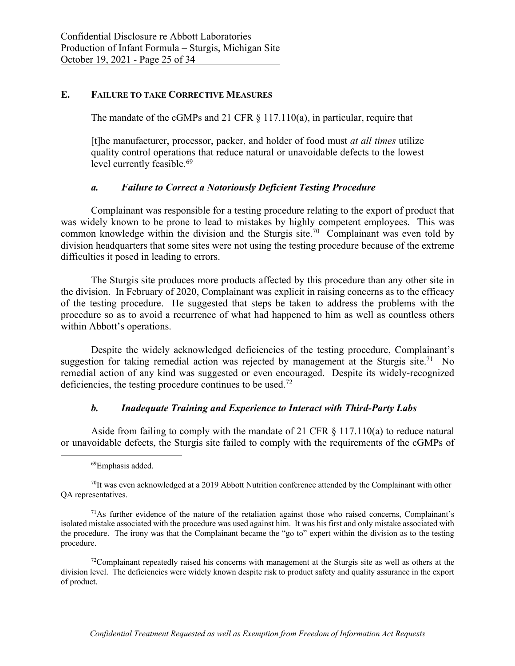### **E. FAILURE TO TAKE CORRECTIVE MEASURES**

The mandate of the cGMPs and 21 CFR  $\S$  117.110(a), in particular, require that

[t]he manufacturer, processor, packer, and holder of food must *at all times* utilize quality control operations that reduce natural or unavoidable defects to the lowest level currently feasible.<sup>69</sup>

#### *a. Failure to Correct a Notoriously Deficient Testing Procedure*

Complainant was responsible for a testing procedure relating to the export of product that was widely known to be prone to lead to mistakes by highly competent employees. This was common knowledge within the division and the Sturgis site.70 Complainant was even told by division headquarters that some sites were not using the testing procedure because of the extreme difficulties it posed in leading to errors.

The Sturgis site produces more products affected by this procedure than any other site in the division. In February of 2020, Complainant was explicit in raising concerns as to the efficacy of the testing procedure. He suggested that steps be taken to address the problems with the procedure so as to avoid a recurrence of what had happened to him as well as countless others within Abbott's operations.

Despite the widely acknowledged deficiencies of the testing procedure, Complainant's suggestion for taking remedial action was rejected by management at the Sturgis site.<sup>71</sup> No remedial action of any kind was suggested or even encouraged. Despite its widely-recognized deficiencies, the testing procedure continues to be used.72

#### *b. Inadequate Training and Experience to Interact with Third-Party Labs*

Aside from failing to comply with the mandate of 21 CFR  $\S$  117.110(a) to reduce natural or unavoidable defects, the Sturgis site failed to comply with the requirements of the cGMPs of

<sup>69</sup>Emphasis added.

 $<sup>70</sup>$ It was even acknowledged at a 2019 Abbott Nutrition conference attended by the Complainant with other</sup> QA representatives.

 $71$ As further evidence of the nature of the retaliation against those who raised concerns, Complainant's isolated mistake associated with the procedure was used against him. It was his first and only mistake associated with the procedure. The irony was that the Complainant became the "go to" expert within the division as to the testing procedure.

 $72$ Complainant repeatedly raised his concerns with management at the Sturgis site as well as others at the division level. The deficiencies were widely known despite risk to product safety and quality assurance in the export of product.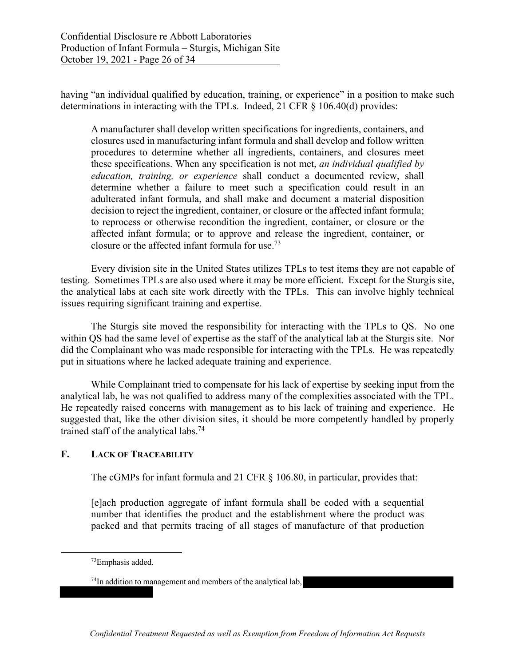having "an individual qualified by education, training, or experience" in a position to make such determinations in interacting with the TPLs. Indeed, 21 CFR § 106.40(d) provides:

A manufacturer shall develop written specifications for ingredients, containers, and closures used in manufacturing infant formula and shall develop and follow written procedures to determine whether all ingredients, containers, and closures meet these specifications. When any specification is not met, *an individual qualified by education, training, or experience* shall conduct a documented review, shall determine whether a failure to meet such a specification could result in an adulterated infant formula, and shall make and document a material disposition decision to reject the ingredient, container, or closure or the affected infant formula; to reprocess or otherwise recondition the ingredient, container, or closure or the affected infant formula; or to approve and release the ingredient, container, or closure or the affected infant formula for use.73

 Every division site in the United States utilizes TPLs to test items they are not capable of testing. Sometimes TPLs are also used where it may be more efficient. Except for the Sturgis site, the analytical labs at each site work directly with the TPLs. This can involve highly technical issues requiring significant training and expertise.

 The Sturgis site moved the responsibility for interacting with the TPLs to QS. No one within QS had the same level of expertise as the staff of the analytical lab at the Sturgis site. Nor did the Complainant who was made responsible for interacting with the TPLs. He was repeatedly put in situations where he lacked adequate training and experience.

 While Complainant tried to compensate for his lack of expertise by seeking input from the analytical lab, he was not qualified to address many of the complexities associated with the TPL. He repeatedly raised concerns with management as to his lack of training and experience. He suggested that, like the other division sites, it should be more competently handled by properly trained staff of the analytical labs.74

## **F. LACK OF TRACEABILITY**

The cGMPs for infant formula and 21 CFR  $\S$  106.80, in particular, provides that:

[e]ach production aggregate of infant formula shall be coded with a sequential number that identifies the product and the establishment where the product was packed and that permits tracing of all stages of manufacture of that production

<sup>73</sup>Emphasis added.

<sup>&</sup>lt;sup>74</sup>In addition to management and members of the analytical lab,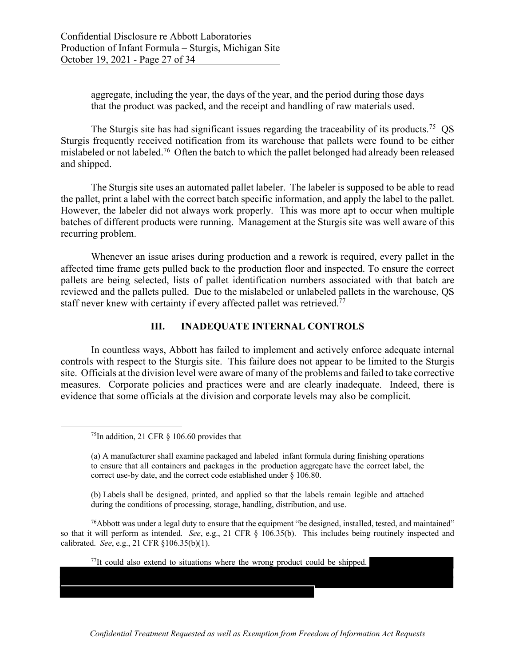aggregate, including the year, the days of the year, and the period during those days that the product was packed, and the receipt and handling of raw materials used.

The Sturgis site has had significant issues regarding the traceability of its products.<sup>75</sup> QS Sturgis frequently received notification from its warehouse that pallets were found to be either mislabeled or not labeled.<sup>76</sup> Often the batch to which the pallet belonged had already been released and shipped.

 The Sturgis site uses an automated pallet labeler. The labeler is supposed to be able to read the pallet, print a label with the correct batch specific information, and apply the label to the pallet. However, the labeler did not always work properly. This was more apt to occur when multiple batches of different products were running. Management at the Sturgis site was well aware of this recurring problem.

 Whenever an issue arises during production and a rework is required, every pallet in the affected time frame gets pulled back to the production floor and inspected. To ensure the correct pallets are being selected, lists of pallet identification numbers associated with that batch are reviewed and the pallets pulled. Due to the mislabeled or unlabeled pallets in the warehouse, QS staff never knew with certainty if every affected pallet was retrieved.<sup>77</sup>

### **III. INADEQUATE INTERNAL CONTROLS**

 In countless ways, Abbott has failed to implement and actively enforce adequate internal controls with respect to the Sturgis site. This failure does not appear to be limited to the Sturgis site. Officials at the division level were aware of many of the problems and failed to take corrective measures. Corporate policies and practices were and are clearly inadequate. Indeed, there is evidence that some officials at the division and corporate levels may also be complicit.

(b) Labels shall be designed, printed, and applied so that the labels remain legible and attached during the conditions of processing, storage, handling, distribution, and use.

 $^{76}$ Abbott was under a legal duty to ensure that the equipment "be designed, installed, tested, and maintained" so that it will perform as intended. *See*, e.g., 21 CFR § 106.35(b). This includes being routinely inspected and calibrated. *See*, e.g., 21 CFR §106.35(b)(1).

 $77$ It could also extend to situations where the wrong product could be shipped.

٦

<sup>&</sup>lt;sup>75</sup>In addition, 21 CFR  $\S$  106.60 provides that

<sup>(</sup>a) A manufacturer shall examine packaged and labeled infant formula during finishing operations to ensure that all containers and packages in the production aggregate have the correct label, the correct use-by date, and the correct code established under § 106.80.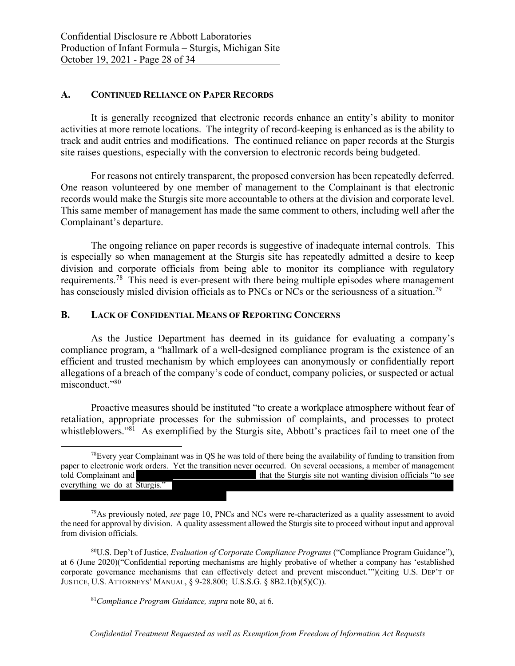#### **A. CONTINUED RELIANCE ON PAPER RECORDS**

It is generally recognized that electronic records enhance an entity's ability to monitor activities at more remote locations. The integrity of record-keeping is enhanced as is the ability to track and audit entries and modifications. The continued reliance on paper records at the Sturgis site raises questions, especially with the conversion to electronic records being budgeted.

 For reasons not entirely transparent, the proposed conversion has been repeatedly deferred. One reason volunteered by one member of management to the Complainant is that electronic records would make the Sturgis site more accountable to others at the division and corporate level. This same member of management has made the same comment to others, including well after the Complainant's departure.

 The ongoing reliance on paper records is suggestive of inadequate internal controls. This is especially so when management at the Sturgis site has repeatedly admitted a desire to keep division and corporate officials from being able to monitor its compliance with regulatory requirements.78 This need is ever-present with there being multiple episodes where management has consciously misled division officials as to PNCs or NCs or the seriousness of a situation.<sup>79</sup>

### **B. LACK OF CONFIDENTIAL MEANS OF REPORTING CONCERNS**

 As the Justice Department has deemed in its guidance for evaluating a company's compliance program, a "hallmark of a well-designed compliance program is the existence of an efficient and trusted mechanism by which employees can anonymously or confidentially report allegations of a breach of the company's code of conduct, company policies, or suspected or actual misconduct."80

 Proactive measures should be instituted "to create a workplace atmosphere without fear of retaliation, appropriate processes for the submission of complaints, and processes to protect whistleblowers."<sup>81</sup> As exemplified by the Sturgis site, Abbott's practices fail to meet one of the

80U.S. Dep't of Justice, *Evaluation of Corporate Compliance Programs* ("Compliance Program Guidance"), at 6 (June 2020)("Confidential reporting mechanisms are highly probative of whether a company has 'established corporate governance mechanisms that can effectively detect and prevent misconduct.'")(citing U.S. DEP'T OF JUSTICE, U.S. ATTORNEYS' MANUAL, § 9-28.800; U.S.S.G. § 8B2.1(b)(5)(C)).

 $78$ Every year Complainant was in QS he was told of there being the availability of funding to transition from paper to electronic work orders. Yet the transition never occurred. On several occasions, a member of management told Complainant and that the Sturgis site not wanting division officials "to see everything we do at Sturgis."

<sup>79</sup>As previously noted, *see* page 10, PNCs and NCs were re-characterized as a quality assessment to avoid the need for approval by division. A quality assessment allowed the Sturgis site to proceed without input and approval from division officials.

 <sup>81</sup>*Compliance Program Guidance, supra* note 80, at 6.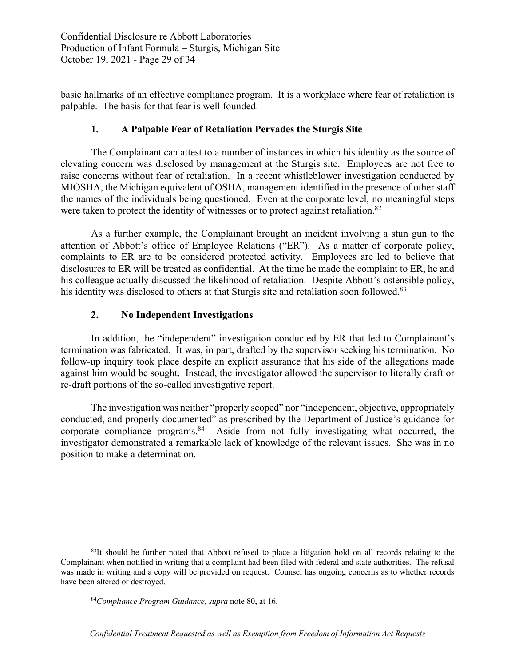basic hallmarks of an effective compliance program. It is a workplace where fear of retaliation is palpable. The basis for that fear is well founded.

## **1. A Palpable Fear of Retaliation Pervades the Sturgis Site**

The Complainant can attest to a number of instances in which his identity as the source of elevating concern was disclosed by management at the Sturgis site. Employees are not free to raise concerns without fear of retaliation. In a recent whistleblower investigation conducted by MIOSHA, the Michigan equivalent of OSHA, management identified in the presence of other staff the names of the individuals being questioned. Even at the corporate level, no meaningful steps were taken to protect the identity of witnesses or to protect against retaliation.<sup>82</sup>

As a further example, the Complainant brought an incident involving a stun gun to the attention of Abbott's office of Employee Relations ("ER"). As a matter of corporate policy, complaints to ER are to be considered protected activity. Employees are led to believe that disclosures to ER will be treated as confidential. At the time he made the complaint to ER, he and his colleague actually discussed the likelihood of retaliation. Despite Abbott's ostensible policy, his identity was disclosed to others at that Sturgis site and retaliation soon followed.<sup>83</sup>

## **2. No Independent Investigations**

In addition, the "independent" investigation conducted by ER that led to Complainant's termination was fabricated. It was, in part, drafted by the supervisor seeking his termination. No follow-up inquiry took place despite an explicit assurance that his side of the allegations made against him would be sought. Instead, the investigator allowed the supervisor to literally draft or re-draft portions of the so-called investigative report.

The investigation was neither "properly scoped" nor "independent, objective, appropriately conducted, and properly documented" as prescribed by the Department of Justice's guidance for corporate compliance programs.<sup>84</sup> Aside from not fully investigating what occurred, the investigator demonstrated a remarkable lack of knowledge of the relevant issues. She was in no position to make a determination.

<sup>&</sup>lt;sup>83</sup>It should be further noted that Abbott refused to place a litigation hold on all records relating to the Complainant when notified in writing that a complaint had been filed with federal and state authorities. The refusal was made in writing and a copy will be provided on request. Counsel has ongoing concerns as to whether records have been altered or destroyed.

<sup>84</sup>*Compliance Program Guidance, supra* note 80, at 16.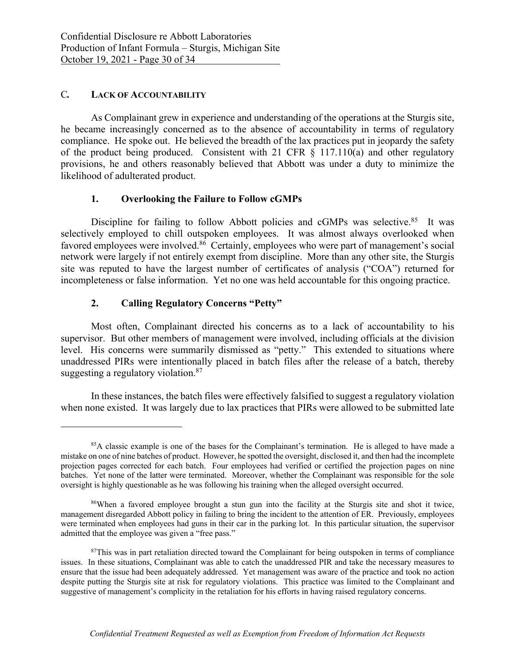### C*.* **LACK OF ACCOUNTABILITY**

As Complainant grew in experience and understanding of the operations at the Sturgis site, he became increasingly concerned as to the absence of accountability in terms of regulatory compliance. He spoke out. He believed the breadth of the lax practices put in jeopardy the safety of the product being produced. Consistent with 21 CFR  $\S$  117.110(a) and other regulatory provisions, he and others reasonably believed that Abbott was under a duty to minimize the likelihood of adulterated product.

### **1. Overlooking the Failure to Follow cGMPs**

Discipline for failing to follow Abbott policies and cGMPs was selective.<sup>85</sup> It was selectively employed to chill outspoken employees. It was almost always overlooked when favored employees were involved.<sup>86</sup> Certainly, employees who were part of management's social network were largely if not entirely exempt from discipline. More than any other site, the Sturgis site was reputed to have the largest number of certificates of analysis ("COA") returned for incompleteness or false information. Yet no one was held accountable for this ongoing practice.

# **2. Calling Regulatory Concerns "Petty"**

Most often, Complainant directed his concerns as to a lack of accountability to his supervisor. But other members of management were involved, including officials at the division level. His concerns were summarily dismissed as "petty." This extended to situations where unaddressed PIRs were intentionally placed in batch files after the release of a batch, thereby suggesting a regulatory violation.<sup>87</sup>

In these instances, the batch files were effectively falsified to suggest a regulatory violation when none existed. It was largely due to lax practices that PIRs were allowed to be submitted late

<sup>85</sup>A classic example is one of the bases for the Complainant's termination. He is alleged to have made a mistake on one of nine batches of product. However, he spotted the oversight, disclosed it, and then had the incomplete projection pages corrected for each batch. Four employees had verified or certified the projection pages on nine batches. Yet none of the latter were terminated. Moreover, whether the Complainant was responsible for the sole oversight is highly questionable as he was following his training when the alleged oversight occurred.

<sup>86</sup>When a favored employee brought a stun gun into the facility at the Sturgis site and shot it twice, management disregarded Abbott policy in failing to bring the incident to the attention of ER. Previously, employees were terminated when employees had guns in their car in the parking lot. In this particular situation, the supervisor admitted that the employee was given a "free pass."

<sup>&</sup>lt;sup>87</sup>This was in part retaliation directed toward the Complainant for being outspoken in terms of compliance issues. In these situations, Complainant was able to catch the unaddressed PIR and take the necessary measures to ensure that the issue had been adequately addressed. Yet management was aware of the practice and took no action despite putting the Sturgis site at risk for regulatory violations. This practice was limited to the Complainant and suggestive of management's complicity in the retaliation for his efforts in having raised regulatory concerns.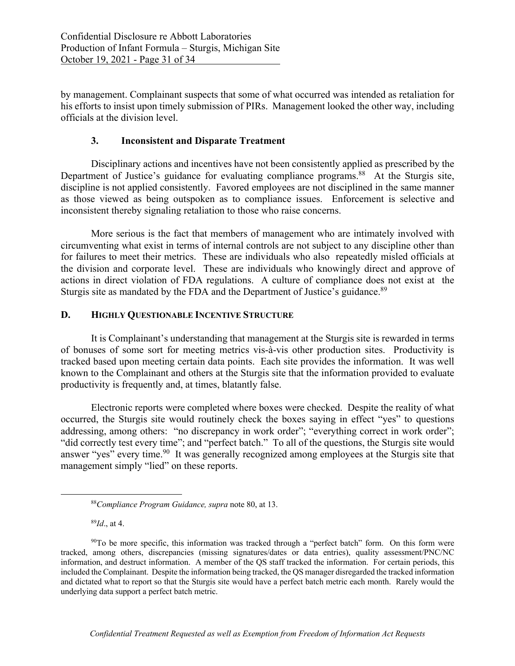by management. Complainant suspects that some of what occurred was intended as retaliation for his efforts to insist upon timely submission of PIRs. Management looked the other way, including officials at the division level.

## **3. Inconsistent and Disparate Treatment**

Disciplinary actions and incentives have not been consistently applied as prescribed by the Department of Justice's guidance for evaluating compliance programs.<sup>88</sup> At the Sturgis site, discipline is not applied consistently. Favored employees are not disciplined in the same manner as those viewed as being outspoken as to compliance issues. Enforcement is selective and inconsistent thereby signaling retaliation to those who raise concerns.

More serious is the fact that members of management who are intimately involved with circumventing what exist in terms of internal controls are not subject to any discipline other than for failures to meet their metrics. These are individuals who also repeatedly misled officials at the division and corporate level. These are individuals who knowingly direct and approve of actions in direct violation of FDA regulations. A culture of compliance does not exist at the Sturgis site as mandated by the FDA and the Department of Justice's guidance.<sup>89</sup>

### **D. HIGHLY QUESTIONABLE INCENTIVE STRUCTURE**

It is Complainant's understanding that management at the Sturgis site is rewarded in terms of bonuses of some sort for meeting metrics vis-à-vis other production sites. Productivity is tracked based upon meeting certain data points. Each site provides the information. It was well known to the Complainant and others at the Sturgis site that the information provided to evaluate productivity is frequently and, at times, blatantly false.

Electronic reports were completed where boxes were checked. Despite the reality of what occurred, the Sturgis site would routinely check the boxes saying in effect "yes" to questions addressing, among others: "no discrepancy in work order"; "everything correct in work order"; "did correctly test every time"; and "perfect batch." To all of the questions, the Sturgis site would answer "yes" every time.<sup>90</sup> It was generally recognized among employees at the Sturgis site that management simply "lied" on these reports.

<sup>89</sup>*Id*., at 4.

<sup>88</sup>*Compliance Program Guidance, supra* note 80, at 13.

<sup>90</sup>To be more specific, this information was tracked through a "perfect batch" form. On this form were tracked, among others, discrepancies (missing signatures/dates or data entries), quality assessment/PNC/NC information, and destruct information. A member of the QS staff tracked the information. For certain periods, this included the Complainant. Despite the information being tracked, the QS manager disregarded the tracked information and dictated what to report so that the Sturgis site would have a perfect batch metric each month. Rarely would the underlying data support a perfect batch metric.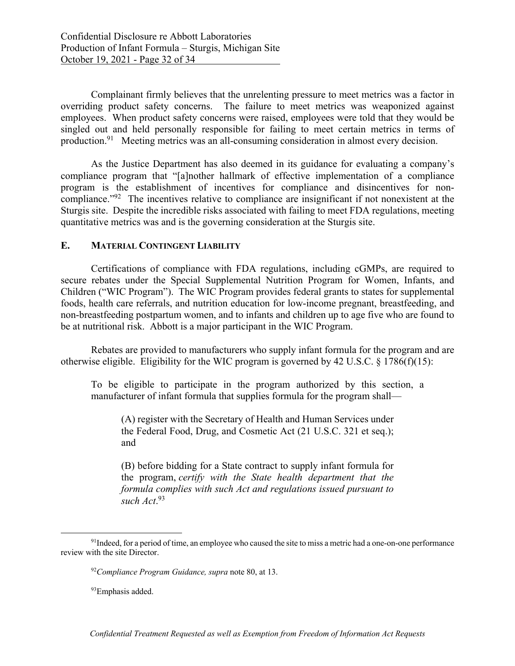Complainant firmly believes that the unrelenting pressure to meet metrics was a factor in overriding product safety concerns. The failure to meet metrics was weaponized against employees. When product safety concerns were raised, employees were told that they would be singled out and held personally responsible for failing to meet certain metrics in terms of production.91 Meeting metrics was an all-consuming consideration in almost every decision.

As the Justice Department has also deemed in its guidance for evaluating a company's compliance program that "[a]nother hallmark of effective implementation of a compliance program is the establishment of incentives for compliance and disincentives for noncompliance."92 The incentives relative to compliance are insignificant if not nonexistent at the Sturgis site. Despite the incredible risks associated with failing to meet FDA regulations, meeting quantitative metrics was and is the governing consideration at the Sturgis site.

### **E. MATERIAL CONTINGENT LIABILITY**

Certifications of compliance with FDA regulations, including cGMPs, are required to secure rebates under the Special Supplemental Nutrition Program for Women, Infants, and Children ("WIC Program"). The WIC Program provides federal grants to states for supplemental foods, health care referrals, and nutrition education for low-income pregnant, breastfeeding, and non-breastfeeding postpartum women, and to infants and children up to age five who are found to be at nutritional risk. Abbott is a major participant in the WIC Program.

Rebates are provided to manufacturers who supply infant formula for the program and are otherwise eligible. Eligibility for the WIC program is governed by 42 U.S.C. § 1786(f)(15):

To be eligible to participate in the program authorized by this section, a manufacturer of infant formula that supplies formula for the program shall—

(A) register with the Secretary of Health and Human Services under the Federal Food, Drug, and Cosmetic Act (21 U.S.C. 321 et seq.); and

(B) before bidding for a State contract to supply infant formula for the program, *certify with the State health department that the formula complies with such Act and regulations issued pursuant to such Act*. 93

<sup>&</sup>lt;sup>91</sup>Indeed, for a period of time, an employee who caused the site to miss a metric had a one-on-one performance review with the site Director.

<sup>92</sup>*Compliance Program Guidance, supra* note 80, at 13.

<sup>&</sup>lt;sup>93</sup>Emphasis added.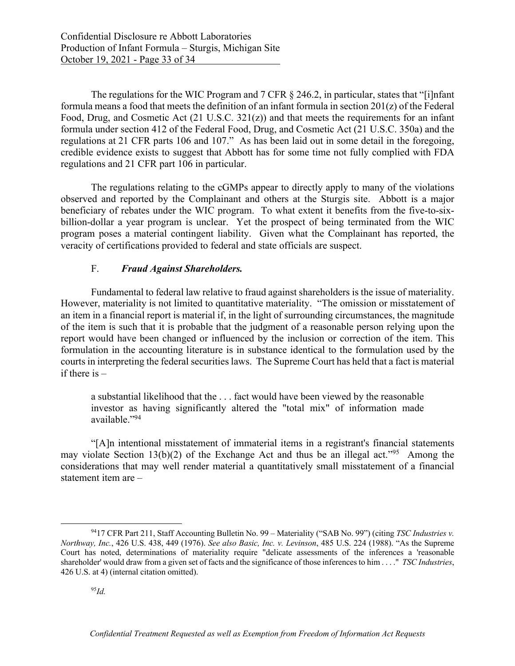The regulations for the WIC Program and 7 CFR § 246.2, in particular, states that "[i]nfant formula means a food that meets the definition of an infant formula in section 201(z) of the Federal Food, Drug, and Cosmetic Act (21 U.S.C. 321(z)) and that meets the requirements for an infant formula under section 412 of the Federal Food, Drug, and Cosmetic Act (21 U.S.C. 350a) and the regulations at 21 CFR parts 106 and 107." As has been laid out in some detail in the foregoing, credible evidence exists to suggest that Abbott has for some time not fully complied with FDA regulations and 21 CFR part 106 in particular.

The regulations relating to the cGMPs appear to directly apply to many of the violations observed and reported by the Complainant and others at the Sturgis site. Abbott is a major beneficiary of rebates under the WIC program. To what extent it benefits from the five-to-sixbillion-dollar a year program is unclear. Yet the prospect of being terminated from the WIC program poses a material contingent liability. Given what the Complainant has reported, the veracity of certifications provided to federal and state officials are suspect.

## F. *Fraud Against Shareholders.*

Fundamental to federal law relative to fraud against shareholders is the issue of materiality. However, materiality is not limited to quantitative materiality. "The omission or misstatement of an item in a financial report is material if, in the light of surrounding circumstances, the magnitude of the item is such that it is probable that the judgment of a reasonable person relying upon the report would have been changed or influenced by the inclusion or correction of the item. This formulation in the accounting literature is in substance identical to the formulation used by the courts in interpreting the federal securities laws. The Supreme Court has held that a fact is material if there is  $-$ 

a substantial likelihood that the . . . fact would have been viewed by the reasonable investor as having significantly altered the "total mix" of information made available."94

"[A]n intentional misstatement of immaterial items in a registrant's financial statements may violate Section 13(b)(2) of the Exchange Act and thus be an illegal act."<sup>95</sup> Among the considerations that may well render material a quantitatively small misstatement of a financial statement item are –

<sup>9417</sup> CFR Part 211, Staff Accounting Bulletin No. 99 – Materiality ("SAB No. 99") (citing *TSC Industries v. Northway, Inc.*, 426 U.S. 438, 449 (1976). *See also Basic, Inc. v. Levinson*, 485 U.S. 224 (1988). "As the Supreme Court has noted, determinations of materiality require "delicate assessments of the inferences a 'reasonable shareholder' would draw from a given set of facts and the significance of those inferences to him . . . ." *TSC Industries*, 426 U.S. at 4) (internal citation omitted).